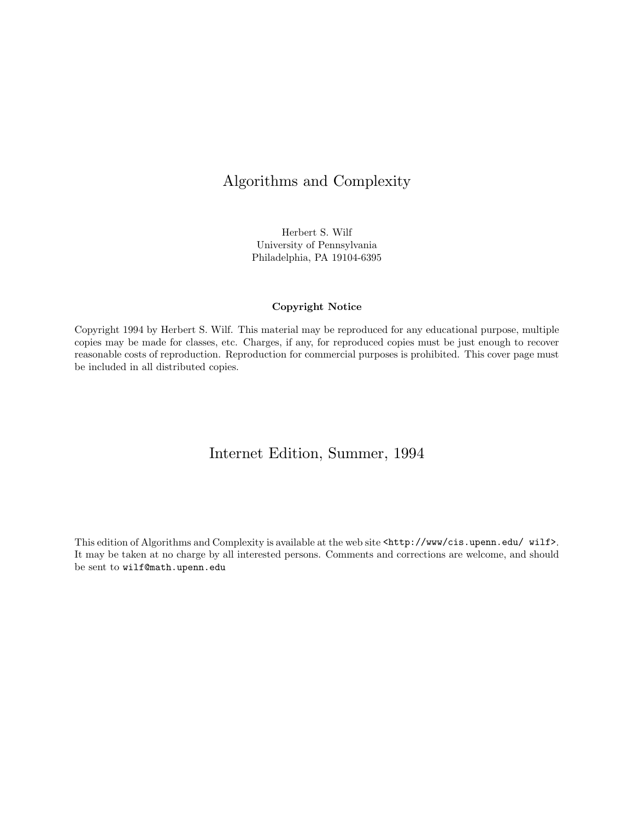# Algorithms and Complexity

Herbert S. Wilf University of Pennsylvania Philadelphia, PA 19104-6395

# **Copyright Notice**

Copyright 1994 by Herbert S. Wilf. This material may be reproduced for any educational purpose, multiple copies may be made for classes, etc. Charges, if any, for reproduced copies must be just enough to recover reasonable costs of reproduction. Reproduction for commercial purposes is prohibited. This cover page must be included in all distributed copies.

# Internet Edition, Summer, 1994

This edition of Algorithms and Complexity is available at the web site <http://www/cis.upenn.edu/ wilf>. It may be taken at no charge by all interested persons. Comments and corrections are welcome, and should be sent to wilf@math.upenn.edu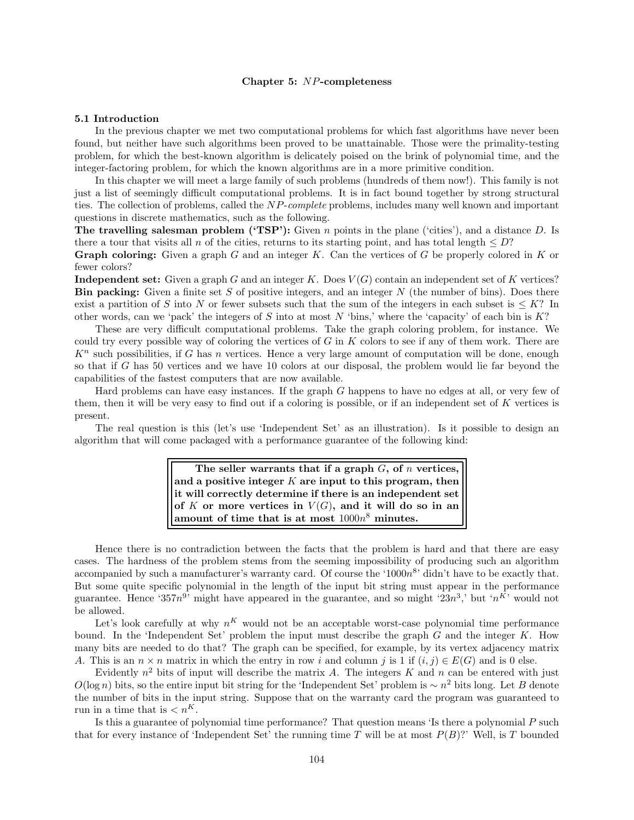## **5.1 Introduction**

In the previous chapter we met two computational problems for which fast algorithms have never been found, but neither have such algorithms been proved to be unattainable. Those were the primality-testing problem, for which the best-known algorithm is delicately poised on the brink of polynomial time, and the integer-factoring problem, for which the known algorithms are in a more primitive condition.

In this chapter we will meet a large family of such problems (hundreds of them now!). This family is not just a list of seemingly difficult computational problems. It is in fact bound together by strong structural ties. The collection of problems, called the NP-complete problems, includes many well known and important questions in discrete mathematics, such as the following.

**The travelling salesman problem ('TSP'):** Given n points in the plane ('cities'), and a distance D. Is there a tour that visits all n of the cities, returns to its starting point, and has total length  $\leq D$ ?

Graph coloring: Given a graph G and an integer K. Can the vertices of G be properly colored in K or fewer colors?

**Independent set:** Given a graph G and an integer K. Does  $V(G)$  contain an independent set of K vertices? **Bin packing:** Given a finite set S of positive integers, and an integer N (the number of bins). Does there exist a partition of S into N or fewer subsets such that the sum of the integers in each subset is  $\leq K$ ? In other words, can we 'pack' the integers of S into at most N 'bins,' where the 'capacity' of each bin is  $K$ ?

These are very difficult computational problems. Take the graph coloring problem, for instance. We could try every possible way of coloring the vertices of  $G$  in  $K$  colors to see if any of them work. There are  $K<sup>n</sup>$  such possibilities, if G has n vertices. Hence a very large amount of computation will be done, enough so that if G has 50 vertices and we have 10 colors at our disposal, the problem would lie far beyond the capabilities of the fastest computers that are now available.

Hard problems can have easy instances. If the graph G happens to have no edges at all, or very few of them, then it will be very easy to find out if a coloring is possible, or if an independent set of K vertices is present.

The real question is this (let's use 'Independent Set' as an illustration). Is it possible to design an algorithm that will come packaged with a performance guarantee of the following kind:

> **The seller warrants that if a graph** G**, of** n **vertices, and a positive integer** K **are input to this program, then it will correctly determine if there is an independent set** of  $K$  or more vertices in  $V(G)$ , and it will do so in an amount of time that is at most  $1000n^8$  minutes.

Hence there is no contradiction between the facts that the problem is hard and that there are easy cases. The hardness of the problem stems from the seeming impossibility of producing such an algorithm accompanied by such a manufacturer's warranty card. Of course the ' $1000n<sup>8</sup>$ ' didn't have to be exactly that. But some quite specific polynomial in the length of the input bit string must appear in the performance guarantee. Hence '357 $n^{9}$ , might have appeared in the guarantee, and so might '23 $n^3$ ,' but ' $n^{\overrightarrow{K}}$ , would not be allowed.

Let's look carefully at why  $n<sup>K</sup>$  would not be an acceptable worst-case polynomial time performance bound. In the 'Independent Set' problem the input must describe the graph  $G$  and the integer  $K$ . How many bits are needed to do that? The graph can be specified, for example, by its vertex adjacency matrix A. This is an  $n \times n$  matrix in which the entry in row i and column j is 1 if  $(i, j) \in E(G)$  and is 0 else.

Evidently  $n^2$  bits of input will describe the matrix A. The integers K and n can be entered with just  $O(\log n)$  bits, so the entire input bit string for the 'Independent Set' problem is ~  $n^2$  bits long. Let B denote the number of bits in the input string. Suppose that on the warranty card the program was guaranteed to run in a time that is  $\langle n^K \rangle$ .

Is this a guarantee of polynomial time performance? That question means 'Is there a polynomial  $P$  such that for every instance of 'Independent Set' the running time T will be at most  $P(B)$ ?' Well, is T bounded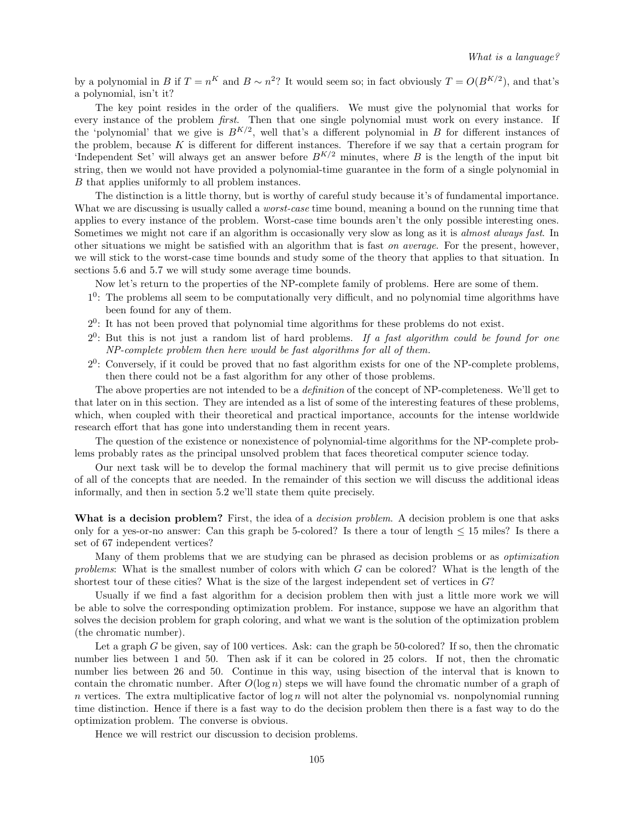by a polynomial in B if  $T = n^K$  and  $B \sim n^2$ ? It would seem so; in fact obviously  $T = O(B^{K/2})$ , and that's a polynomial, isn't it?

The key point resides in the order of the qualifiers. We must give the polynomial that works for every instance of the problem *first*. Then that one single polynomial must work on every instance. If the 'polynomial' that we give is  $B^{K/2}$ , well that's a different polynomial in B for different instances of the problem, because  $K$  is different for different instances. Therefore if we say that a certain program for 'Independent Set' will always get an answer before  $B^{K/2}$  minutes, where B is the length of the input bit string, then we would not have provided a polynomial-time guarantee in the form of a single polynomial in B that applies uniformly to all problem instances.

The distinction is a little thorny, but is worthy of careful study because it's of fundamental importance. What we are discussing is usually called a *worst-case* time bound, meaning a bound on the running time that applies to every instance of the problem. Worst-case time bounds aren't the only possible interesting ones. Sometimes we might not care if an algorithm is occasionally very slow as long as it is almost always fast. In other situations we might be satisfied with an algorithm that is fast on average. For the present, however, we will stick to the worst-case time bounds and study some of the theory that applies to that situation. In sections 5.6 and 5.7 we will study some average time bounds.

Now let's return to the properties of the NP-complete family of problems. Here are some of them.

- $1<sup>0</sup>$ : The problems all seem to be computationally very difficult, and no polynomial time algorithms have been found for any of them.
- $2<sup>0</sup>$ : It has not been proved that polynomial time algorithms for these problems do not exist.
- $2<sup>0</sup>$ : But this is not just a random list of hard problems. If a fast algorithm could be found for one NP-complete problem then here would be fast algorithms for all of them.
- $2<sup>0</sup>$ : Conversely, if it could be proved that no fast algorithm exists for one of the NP-complete problems, then there could not be a fast algorithm for any other of those problems.

The above properties are not intended to be a *definition* of the concept of NP-completeness. We'll get to that later on in this section. They are intended as a list of some of the interesting features of these problems, which, when coupled with their theoretical and practical importance, accounts for the intense worldwide research effort that has gone into understanding them in recent years.

The question of the existence or nonexistence of polynomial-time algorithms for the NP-complete problems probably rates as the principal unsolved problem that faces theoretical computer science today.

Our next task will be to develop the formal machinery that will permit us to give precise definitions of all of the concepts that are needed. In the remainder of this section we will discuss the additional ideas informally, and then in section 5.2 we'll state them quite precisely.

**What is a decision problem?** First, the idea of a decision problem. A decision problem is one that asks only for a yes-or-no answer: Can this graph be 5-colored? Is there a tour of length  $\leq 15$  miles? Is there a set of 67 independent vertices?

Many of them problems that we are studying can be phrased as decision problems or as optimization problems: What is the smallest number of colors with which  $G$  can be colored? What is the length of the shortest tour of these cities? What is the size of the largest independent set of vertices in G?

Usually if we find a fast algorithm for a decision problem then with just a little more work we will be able to solve the corresponding optimization problem. For instance, suppose we have an algorithm that solves the decision problem for graph coloring, and what we want is the solution of the optimization problem (the chromatic number).

Let a graph G be given, say of 100 vertices. Ask: can the graph be 50-colored? If so, then the chromatic number lies between 1 and 50. Then ask if it can be colored in 25 colors. If not, then the chromatic number lies between 26 and 50. Continue in this way, using bisection of the interval that is known to contain the chromatic number. After  $O(\log n)$  steps we will have found the chromatic number of a graph of n vertices. The extra multiplicative factor of  $\log n$  will not alter the polynomial vs. nonpolynomial running time distinction. Hence if there is a fast way to do the decision problem then there is a fast way to do the optimization problem. The converse is obvious.

Hence we will restrict our discussion to decision problems.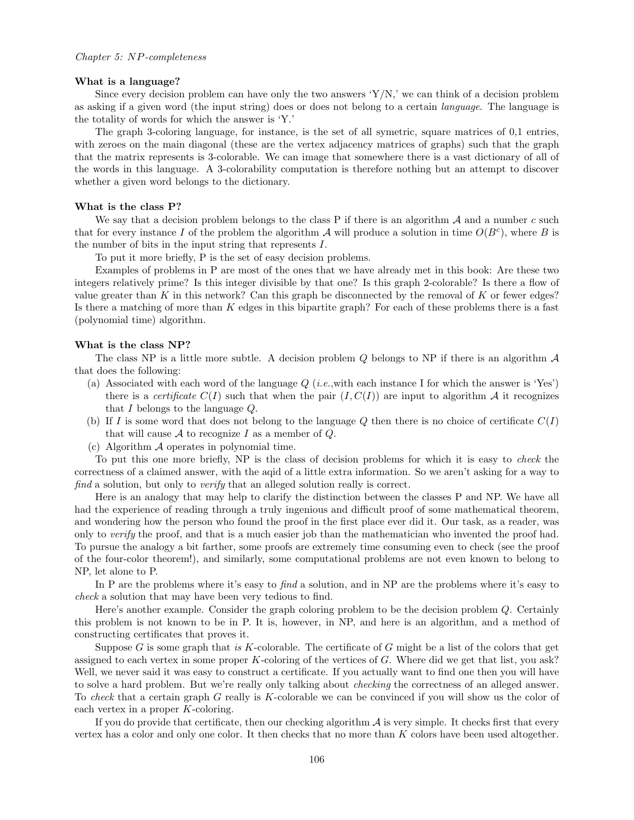#### **What is a language?**

Since every decision problem can have only the two answers  $Y/N$ , we can think of a decision problem as asking if a given word (the input string) does or does not belong to a certain language. The language is the totality of words for which the answer is 'Y.'

The graph 3-coloring language, for instance, is the set of all symetric, square matrices of 0,1 entries, with zeroes on the main diagonal (these are the vertex adjacency matrices of graphs) such that the graph that the matrix represents is 3-colorable. We can image that somewhere there is a vast dictionary of all of the words in this language. A 3-colorability computation is therefore nothing but an attempt to discover whether a given word belongs to the dictionary.

#### **What is the class P?**

We say that a decision problem belongs to the class P if there is an algorithm  $A$  and a number c such that for every instance I of the problem the algorithm A will produce a solution in time  $O(B<sup>c</sup>)$ , where B is the number of bits in the input string that represents I.

To put it more briefly, P is the set of easy decision problems.

Examples of problems in P are most of the ones that we have already met in this book: Are these two integers relatively prime? Is this integer divisible by that one? Is this graph 2-colorable? Is there a flow of value greater than  $K$  in this network? Can this graph be disconnected by the removal of  $K$  or fewer edges? Is there a matching of more than  $K$  edges in this bipartite graph? For each of these problems there is a fast (polynomial time) algorithm.

#### **What is the class NP?**

The class NP is a little more subtle. A decision problem  $Q$  belongs to NP if there is an algorithm  $\mathcal A$ that does the following:

- (a) Associated with each word of the language  $Q$  (*i.e.*, with each instance I for which the answer is 'Yes') there is a *certificate*  $C(I)$  such that when the pair  $(I, C(I))$  are input to algorithm A it recognizes that  $I$  belongs to the language  $Q$ .
- (b) If I is some word that does not belong to the language Q then there is no choice of certificate  $C(I)$ that will cause A to recognize I as a member of  $Q$ .
- (c) Algorithm A operates in polynomial time.

To put this one more briefly, NP is the class of decision problems for which it is easy to check the correctness of a claimed answer, with the aqid of a little extra information. So we aren't asking for a way to find a solution, but only to *verify* that an alleged solution really is correct.

Here is an analogy that may help to clarify the distinction between the classes P and NP. We have all had the experience of reading through a truly ingenious and difficult proof of some mathematical theorem, and wondering how the person who found the proof in the first place ever did it. Our task, as a reader, was only to verify the proof, and that is a much easier job than the mathematician who invented the proof had. To pursue the analogy a bit farther, some proofs are extremely time consuming even to check (see the proof of the four-color theorem!), and similarly, some computational problems are not even known to belong to NP, let alone to P.

In P are the problems where it's easy to find a solution, and in NP are the problems where it's easy to check a solution that may have been very tedious to find.

Here's another example. Consider the graph coloring problem to be the decision problem  $Q$ . Certainly this problem is not known to be in P. It is, however, in NP, and here is an algorithm, and a method of constructing certificates that proves it.

Suppose G is some graph that is K-colorable. The certificate of G might be a list of the colors that get assigned to each vertex in some proper K-coloring of the vertices of G. Where did we get that list, you ask? Well, we never said it was easy to construct a certificate. If you actually want to find one then you will have to solve a hard problem. But we're really only talking about checking the correctness of an alleged answer. To check that a certain graph G really is K-colorable we can be convinced if you will show us the color of each vertex in a proper K-coloring.

If you do provide that certificate, then our checking algorithm  $A$  is very simple. It checks first that every vertex has a color and only one color. It then checks that no more than  $K$  colors have been used altogether.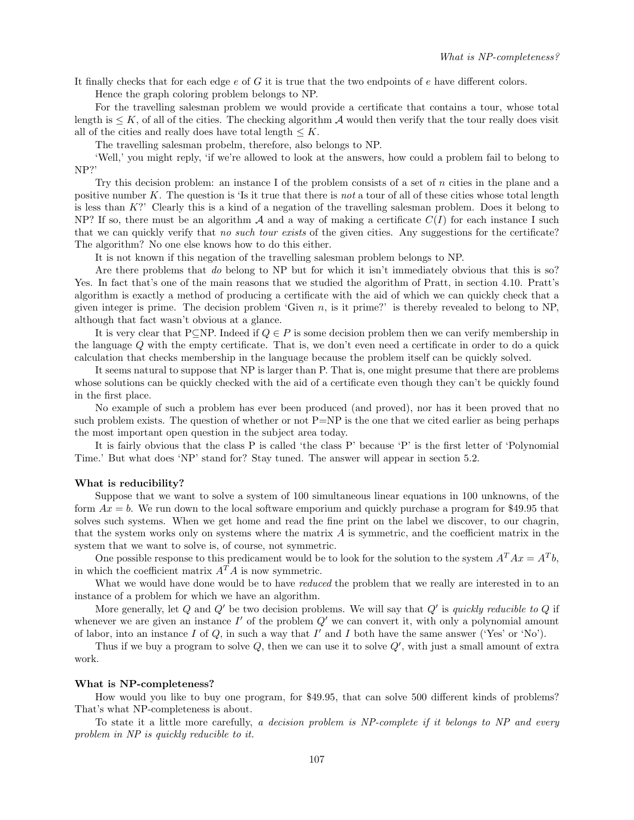It finally checks that for each edge  $e$  of  $G$  it is true that the two endpoints of  $e$  have different colors.

Hence the graph coloring problem belongs to NP.

For the travelling salesman problem we would provide a certificate that contains a tour, whose total length is  $\leq K$ , of all of the cities. The checking algorithm A would then verify that the tour really does visit all of the cities and really does have total length  $\leq K$ .

The travelling salesman probelm, therefore, also belongs to NP.

'Well,' you might reply, 'if we're allowed to look at the answers, how could a problem fail to belong to NP?'

Try this decision problem: an instance I of the problem consists of a set of  $n$  cities in the plane and a positive number K. The question is 'Is it true that there is not a tour of all of these cities whose total length is less than  $K$ ?' Clearly this is a kind of a negation of the travelling salesman problem. Does it belong to NP? If so, there must be an algorithm A and a way of making a certificate  $C(I)$  for each instance I such that we can quickly verify that no such tour exists of the given cities. Any suggestions for the certificate? The algorithm? No one else knows how to do this either.

It is not known if this negation of the travelling salesman problem belongs to NP.

Are there problems that do belong to NP but for which it isn't immediately obvious that this is so? Yes. In fact that's one of the main reasons that we studied the algorithm of Pratt, in section 4.10. Pratt's algorithm is exactly a method of producing a certificate with the aid of which we can quickly check that a given integer is prime. The decision problem 'Given  $n$ , is it prime?' is thereby revealed to belong to NP, although that fact wasn't obvious at a glance.

It is very clear that P⊆NP. Indeed if  $Q \in P$  is some decision problem then we can verify membership in the language Q with the empty certificate. That is, we don't even need a certificate in order to do a quick calculation that checks membership in the language because the problem itself can be quickly solved.

It seems natural to suppose that NP is larger than P. That is, one might presume that there are problems whose solutions can be quickly checked with the aid of a certificate even though they can't be quickly found in the first place.

No example of such a problem has ever been produced (and proved), nor has it been proved that no such problem exists. The question of whether or not  $P=NP$  is the one that we cited earlier as being perhaps the most important open question in the subject area today.

It is fairly obvious that the class P is called 'the class P' because 'P' is the first letter of 'Polynomial Time.' But what does 'NP' stand for? Stay tuned. The answer will appear in section 5.2.

#### **What is reducibility?**

Suppose that we want to solve a system of 100 simultaneous linear equations in 100 unknowns, of the form  $Ax = b$ . We run down to the local software emporium and quickly purchase a program for \$49.95 that solves such systems. When we get home and read the fine print on the label we discover, to our chagrin, that the system works only on systems where the matrix  $A$  is symmetric, and the coefficient matrix in the system that we want to solve is, of course, not symmetric.

One possible response to this predicament would be to look for the solution to the system  $A^T A x = A^T b$ , in which the coefficient matrix  $A^TA$  is now symmetric.

What we would have done would be to have *reduced* the problem that we really are interested in to an instance of a problem for which we have an algorithm.

More generally, let  $Q$  and  $Q'$  be two decision problems. We will say that  $Q'$  is quickly reducible to  $Q$  if whenever we are given an instance  $I'$  of the problem  $Q'$  we can convert it, with only a polynomial amount of labor, into an instance I of Q, in such a way that I' and I both have the same answer ('Yes' or 'No').

Thus if we buy a program to solve  $Q$ , then we can use it to solve  $Q'$ , with just a small amount of extra work.

### **What is NP-completeness?**

How would you like to buy one program, for \$49.95, that can solve 500 different kinds of problems? That's what NP-completeness is about.

To state it a little more carefully, a decision problem is NP-complete if it belongs to NP and every problem in NP is quickly reducible to it.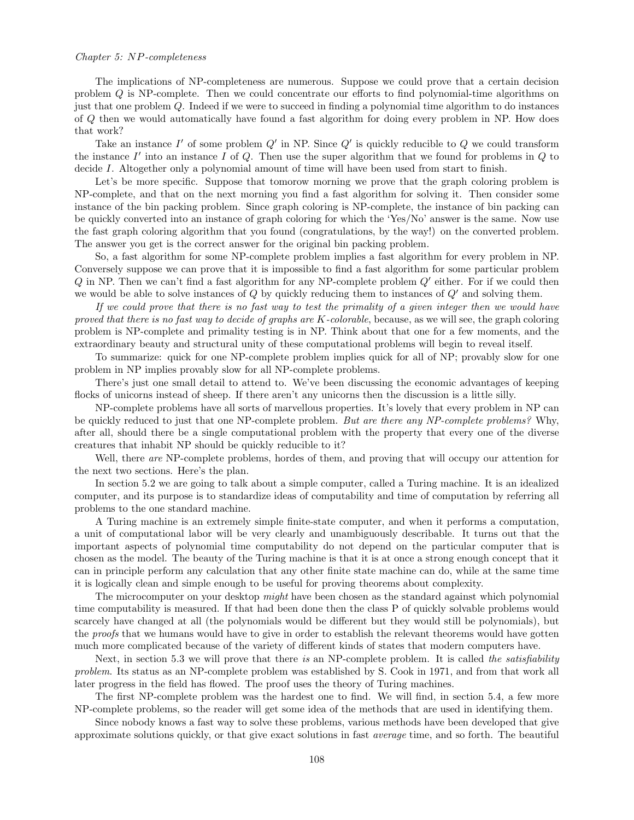The implications of NP-completeness are numerous. Suppose we could prove that a certain decision problem Q is NP-complete. Then we could concentrate our efforts to find polynomial-time algorithms on just that one problem Q. Indeed if we were to succeed in finding a polynomial time algorithm to do instances of Q then we would automatically have found a fast algorithm for doing every problem in NP. How does that work?

Take an instance I' of some problem  $Q'$  in NP. Since  $Q'$  is quickly reducible to Q we could transform the instance I' into an instance I of Q. Then use the super algorithm that we found for problems in  $Q$  to decide I. Altogether only a polynomial amount of time will have been used from start to finish.

Let's be more specific. Suppose that tomorow morning we prove that the graph coloring problem is NP-complete, and that on the next morning you find a fast algorithm for solving it. Then consider some instance of the bin packing problem. Since graph coloring is NP-complete, the instance of bin packing can be quickly converted into an instance of graph coloring for which the 'Yes/No' answer is the same. Now use the fast graph coloring algorithm that you found (congratulations, by the way!) on the converted problem. The answer you get is the correct answer for the original bin packing problem.

So, a fast algorithm for some NP-complete problem implies a fast algorithm for every problem in NP. Conversely suppose we can prove that it is impossible to find a fast algorithm for some particular problem  $Q$  in NP. Then we can't find a fast algorithm for any NP-complete problem  $Q'$  either. For if we could then we would be able to solve instances of  $Q$  by quickly reducing them to instances of  $Q'$  and solving them.

If we could prove that there is no fast way to test the primality of a given integer then we would have proved that there is no fast way to decide of graphs are K-colorable, because, as we will see, the graph coloring problem is NP-complete and primality testing is in NP. Think about that one for a few moments, and the extraordinary beauty and structural unity of these computational problems will begin to reveal itself.

To summarize: quick for one NP-complete problem implies quick for all of NP; provably slow for one problem in NP implies provably slow for all NP-complete problems.

There's just one small detail to attend to. We've been discussing the economic advantages of keeping flocks of unicorns instead of sheep. If there aren't any unicorns then the discussion is a little silly.

NP-complete problems have all sorts of marvellous properties. It's lovely that every problem in NP can be quickly reduced to just that one NP-complete problem. But are there any NP-complete problems? Why, after all, should there be a single computational problem with the property that every one of the diverse creatures that inhabit NP should be quickly reducible to it?

Well, there are NP-complete problems, hordes of them, and proving that will occupy our attention for the next two sections. Here's the plan.

In section 5.2 we are going to talk about a simple computer, called a Turing machine. It is an idealized computer, and its purpose is to standardize ideas of computability and time of computation by referring all problems to the one standard machine.

A Turing machine is an extremely simple finite-state computer, and when it performs a computation, a unit of computational labor will be very clearly and unambiguously describable. It turns out that the important aspects of polynomial time computability do not depend on the particular computer that is chosen as the model. The beauty of the Turing machine is that it is at once a strong enough concept that it can in principle perform any calculation that any other finite state machine can do, while at the same time it is logically clean and simple enough to be useful for proving theorems about complexity.

The microcomputer on your desktop *might* have been chosen as the standard against which polynomial time computability is measured. If that had been done then the class P of quickly solvable problems would scarcely have changed at all (the polynomials would be different but they would still be polynomials), but the proofs that we humans would have to give in order to establish the relevant theorems would have gotten much more complicated because of the variety of different kinds of states that modern computers have.

Next, in section 5.3 we will prove that there is an NP-complete problem. It is called the satisfiability problem. Its status as an NP-complete problem was established by S. Cook in 1971, and from that work all later progress in the field has flowed. The proof uses the theory of Turing machines.

The first NP-complete problem was the hardest one to find. We will find, in section 5.4, a few more NP-complete problems, so the reader will get some idea of the methods that are used in identifying them.

Since nobody knows a fast way to solve these problems, various methods have been developed that give approximate solutions quickly, or that give exact solutions in fast average time, and so forth. The beautiful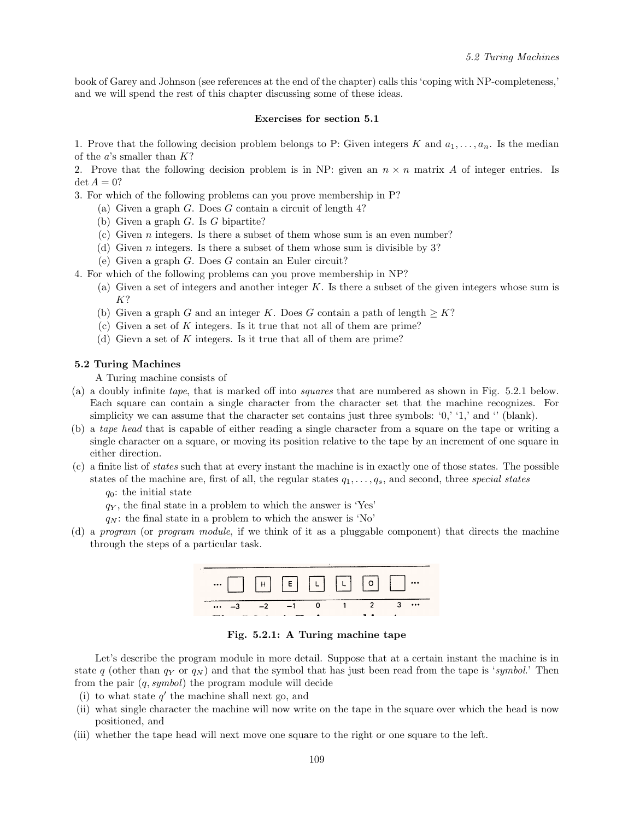book of Garey and Johnson (see references at the end of the chapter) calls this 'coping with NP-completeness,' and we will spend the rest of this chapter discussing some of these ideas.

## **Exercises for section 5.1**

1. Prove that the following decision problem belongs to P: Given integers K and  $a_1, \ldots, a_n$ . Is the median of the  $a$ 's smaller than  $K$ ?

2. Prove that the following decision problem is in NP: given an  $n \times n$  matrix A of integer entries. Is  $\det A = 0?$ 

3. For which of the following problems can you prove membership in P?

- (a) Given a graph  $G$ . Does  $G$  contain a circuit of length  $4$ ?
- (b) Given a graph G. Is G bipartite?
- (c) Given n integers. Is there a subset of them whose sum is an even number?
- (d) Given n integers. Is there a subset of them whose sum is divisible by  $3$ ?
- (e) Given a graph G. Does G contain an Euler circuit?

4. For which of the following problems can you prove membership in NP?

- (a) Given a set of integers and another integer K. Is there a subset of the given integers whose sum is K?
- (b) Given a graph G and an integer K. Does G contain a path of length  $\geq K$ ?
- (c) Given a set of K integers. Is it true that not all of them are prime?
- (d) Gievn a set of K integers. Is it true that all of them are prime?

## **5.2 Turing Machines**

A Turing machine consists of

- (a) a doubly infinite tape, that is marked off into squares that are numbered as shown in Fig. 5.2.1 below. Each square can contain a single character from the character set that the machine recognizes. For simplicity we can assume that the character set contains just three symbols: ' $0$ ,' ' $1$ ,' and '' (blank).
- (b) a tape head that is capable of either reading a single character from a square on the tape or writing a single character on a square, or moving its position relative to the tape by an increment of one square in either direction.
- (c) a finite list of states such that at every instant the machine is in exactly one of those states. The possible states of the machine are, first of all, the regular states  $q_1, \ldots, q_s$ , and second, three special states

 $q_0$ : the initial state

 $q<sub>Y</sub>$ , the final state in a problem to which the answer is 'Yes'

 $q_N$ : the final state in a problem to which the answer is 'No'

(d) a program (or program module, if we think of it as a pluggable component) that directs the machine through the steps of a particular task.



**Fig. 5.2.1: A Turing machine tape**

Let's describe the program module in more detail. Suppose that at a certain instant the machine is in state q (other than  $q_Y$  or  $q_N$ ) and that the symbol that has just been read from the tape is 'symbol.' Then from the pair (q, symbol) the program module will decide

- (i) to what state  $q'$  the machine shall next go, and
- (ii) what single character the machine will now write on the tape in the square over which the head is now positioned, and
- (iii) whether the tape head will next move one square to the right or one square to the left.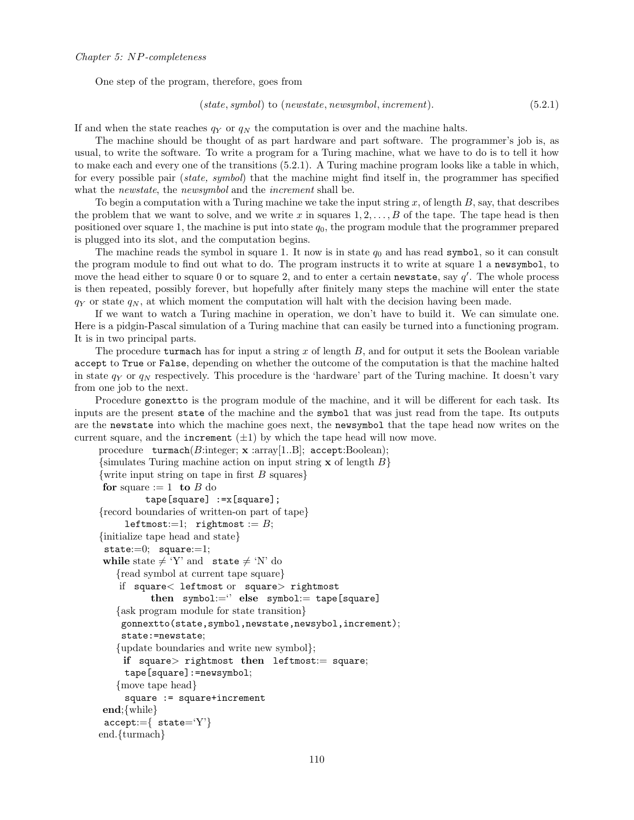One step of the program, therefore, goes from

$$
(state, symbol) to (newstate, new symbol, increment).
$$
\n
$$
(5.2.1)
$$

If and when the state reaches  $q_Y$  or  $q_N$  the computation is over and the machine halts.

The machine should be thought of as part hardware and part software. The programmer's job is, as usual, to write the software. To write a program for a Turing machine, what we have to do is to tell it how to make each and every one of the transitions (5.2.1). A Turing machine program looks like a table in which, for every possible pair (state, symbol) that the machine might find itself in, the programmer has specified what the *newstate*, the *newsymbol* and the *increment* shall be.

To begin a computation with a Turing machine we take the input string x, of length  $B$ , say, that describes the problem that we want to solve, and we write x in squares  $1, 2, \ldots, B$  of the tape. The tape head is then positioned over square 1, the machine is put into state  $q_0$ , the program module that the programmer prepared is plugged into its slot, and the computation begins.

The machine reads the symbol in square 1. It now is in state  $q_0$  and has read symbol, so it can consult the program module to find out what to do. The program instructs it to write at square 1 a newsymbol, to move the head either to square  $0$  or to square 2, and to enter a certain newstate, say  $q'$ . The whole process is then repeated, possibly forever, but hopefully after finitely many steps the machine will enter the state  $q<sub>Y</sub>$  or state  $q<sub>N</sub>$ , at which moment the computation will halt with the decision having been made.

If we want to watch a Turing machine in operation, we don't have to build it. We can simulate one. Here is a pidgin-Pascal simulation of a Turing machine that can easily be turned into a functioning program. It is in two principal parts.

The procedure turmach has for input a string x of length  $B$ , and for output it sets the Boolean variable accept to True or False, depending on whether the outcome of the computation is that the machine halted in state  $q_Y$  or  $q_N$  respectively. This procedure is the 'hardware' part of the Turing machine. It doesn't vary from one job to the next.

Procedure gonextto is the program module of the machine, and it will be different for each task. Its inputs are the present state of the machine and the symbol that was just read from the tape. Its outputs are the newstate into which the machine goes next, the newsymbol that the tape head now writes on the current square, and the increment  $(\pm 1)$  by which the tape head will now move.

```
procedure turmach(B:integer; x :array[1..B]; accept:Boolean);
{simulates Turing machine action on input string x of length B}
{write input string on tape in first B squares}
for square := 1 to B do
         tape[square] :=x[square];
{record boundaries of written-on part of tape}
     leftmost:=1; rightmost := B;
{initialize tape head and state}
state:=0; square:=1;
while state \neq 'Y' and state \neq 'N' do
   {read symbol at current tape square}
   if square< leftmost or square> rightmost
          then symbol:='' else symbol:= tape[square]
   {ask program module for state transition}
    gonnextto(state,symbol,newstate,newsybol,increment);
    state:=newstate;
   {update boundaries and write new symbol};
    if square> rightmost then leftmost:= square;
     tape[square]:=newsymbol;
   {move tape head}
     square := square+increment
end;{while}
accept:=\{ state='Y'\}end.{turmach}
```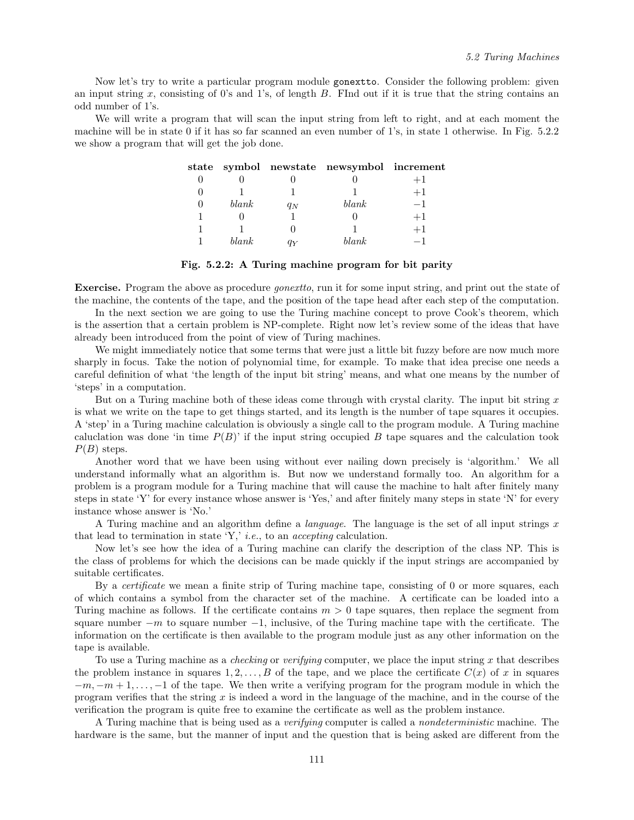Now let's try to write a particular program module gonextto. Consider the following problem: given an input string x, consisting of 0's and 1's, of length  $B$ . Find out if it is true that the string contains an odd number of 1's.

We will write a program that will scan the input string from left to right, and at each moment the machine will be in state 0 if it has so far scanned an even number of 1's, in state 1 otherwise. In Fig. 5.2.2 we show a program that will get the job done.

|       |       | state symbol newstate newsymbol increment |      |
|-------|-------|-------------------------------------------|------|
|       |       |                                           | $+1$ |
|       |       |                                           | $+1$ |
| blank | $q_N$ | blank                                     | $-1$ |
|       |       |                                           | $+1$ |
|       |       |                                           | $+1$ |
| blank |       | blank                                     |      |

## **Fig. 5.2.2: A Turing machine program for bit parity**

**Exercise.** Program the above as procedure *gonextto*, run it for some input string, and print out the state of the machine, the contents of the tape, and the position of the tape head after each step of the computation.

In the next section we are going to use the Turing machine concept to prove Cook's theorem, which is the assertion that a certain problem is NP-complete. Right now let's review some of the ideas that have already been introduced from the point of view of Turing machines.

We might immediately notice that some terms that were just a little bit fuzzy before are now much more sharply in focus. Take the notion of polynomial time, for example. To make that idea precise one needs a careful definition of what 'the length of the input bit string' means, and what one means by the number of 'steps' in a computation.

But on a Turing machine both of these ideas come through with crystal clarity. The input bit string  $x$ is what we write on the tape to get things started, and its length is the number of tape squares it occupies. A 'step' in a Turing machine calculation is obviously a single call to the program module. A Turing machine caluclation was done 'in time  $P(B)$ ' if the input string occupied B tape squares and the calculation took  $P(B)$  steps.

Another word that we have been using without ever nailing down precisely is 'algorithm.' We all understand informally what an algorithm is. But now we understand formally too. An algorithm for a problem is a program module for a Turing machine that will cause the machine to halt after finitely many steps in state 'Y' for every instance whose answer is 'Yes,' and after finitely many steps in state 'N' for every instance whose answer is 'No.'

A Turing machine and an algorithm define a *language*. The language is the set of all input strings  $x$ that lead to termination in state 'Y,' *i.e.*, to an *accepting* calculation.

Now let's see how the idea of a Turing machine can clarify the description of the class NP. This is the class of problems for which the decisions can be made quickly if the input strings are accompanied by suitable certificates.

By a *certificate* we mean a finite strip of Turing machine tape, consisting of 0 or more squares, each of which contains a symbol from the character set of the machine. A certificate can be loaded into a Turing machine as follows. If the certificate contains  $m > 0$  tape squares, then replace the segment from square number  $-m$  to square number  $-1$ , inclusive, of the Turing machine tape with the certificate. The information on the certificate is then available to the program module just as any other information on the tape is available.

To use a Turing machine as a *checking* or *verifying* computer, we place the input string  $x$  that describes the problem instance in squares  $1, 2, \ldots, B$  of the tape, and we place the certificate  $C(x)$  of x in squares  $-m, -m+1, \ldots, -1$  of the tape. We then write a verifying program for the program module in which the program verifies that the string x is indeed a word in the language of the machine, and in the course of the verification the program is quite free to examine the certificate as well as the problem instance.

A Turing machine that is being used as a verifying computer is called a nondeterministic machine. The hardware is the same, but the manner of input and the question that is being asked are different from the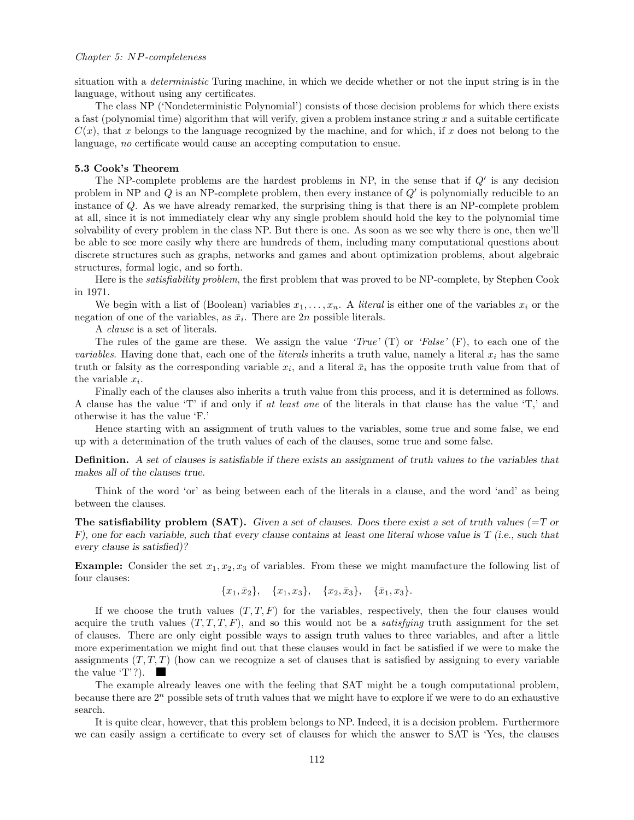situation with a *deterministic* Turing machine, in which we decide whether or not the input string is in the language, without using any certificates.

The class NP ('Nondeterministic Polynomial') consists of those decision problems for which there exists a fast (polynomial time) algorithm that will verify, given a problem instance string  $x$  and a suitable certificate  $C(x)$ , that x belongs to the language recognized by the machine, and for which, if x does not belong to the language, no certificate would cause an accepting computation to ensue.

#### **5.3 Cook's Theorem**

The NP-complete problems are the hardest problems in NP, in the sense that if  $Q'$  is any decision problem in NP and  $Q$  is an NP-complete problem, then every instance of  $Q'$  is polynomially reducible to an instance of Q. As we have already remarked, the surprising thing is that there is an NP-complete problem at all, since it is not immediately clear why any single problem should hold the key to the polynomial time solvability of every problem in the class NP. But there is one. As soon as we see why there is one, then we'll be able to see more easily why there are hundreds of them, including many computational questions about discrete structures such as graphs, networks and games and about optimization problems, about algebraic structures, formal logic, and so forth.

Here is the *satisfiability problem*, the first problem that was proved to be NP-complete, by Stephen Cook in 1971.

We begin with a list of (Boolean) variables  $x_1, \ldots, x_n$ . A *literal* is either one of the variables  $x_i$  or the negation of one of the variables, as  $\bar{x}_i$ . There are  $2n$  possible literals.

A clause is a set of literals.

The rules of the game are these. We assign the value 'True'  $(T)$  or 'False'  $(F)$ , to each one of the *variables.* Having done that, each one of the *literals* inherits a truth value, namely a literal  $x_i$  has the same truth or falsity as the corresponding variable  $x_i$ , and a literal  $\bar{x}_i$  has the opposite truth value from that of the variable  $x_i$ .

Finally each of the clauses also inherits a truth value from this process, and it is determined as follows. A clause has the value 'T' if and only if at least one of the literals in that clause has the value 'T,' and otherwise it has the value 'F.'

Hence starting with an assignment of truth values to the variables, some true and some false, we end up with a determination of the truth values of each of the clauses, some true and some false.

**Definition.** *A set of clauses is satisfiable if there exists an assignment of truth values to the variables that makes all of the clauses true.*

Think of the word 'or' as being between each of the literals in a clause, and the word 'and' as being between the clauses.

**The satisfiability problem (SAT).** *Given a set of clauses. Does there exist a set of truth values (=T or F), one for each variable, such that every clause contains at least one literal whose value is T (i.e., such that every clause is satisfied)?*

**Example:** Consider the set  $x_1, x_2, x_3$  of variables. From these we might manufacture the following list of four clauses:

$$
{x_1,\bar{x}_2}, \quad {x_1,x_3}, \quad {x_2,\bar{x}_3}, \quad {\bar{x}_1,x_3}.
$$

If we choose the truth values  $(T, T, F)$  for the variables, respectively, then the four clauses would acquire the truth values  $(T,T,T,F)$ , and so this would not be a *satisfying* truth assignment for the set of clauses. There are only eight possible ways to assign truth values to three variables, and after a little more experimentation we might find out that these clauses would in fact be satisfied if we were to make the assignments  $(T, T, T)$  (how can we recognize a set of clauses that is satisfied by assigning to every variable the value  $\mathcal{T}'$ ?).

The example already leaves one with the feeling that SAT might be a tough computational problem, because there are  $2<sup>n</sup>$  possible sets of truth values that we might have to explore if we were to do an exhaustive search.

It is quite clear, however, that this problem belongs to NP. Indeed, it is a decision problem. Furthermore we can easily assign a certificate to every set of clauses for which the answer to SAT is 'Yes, the clauses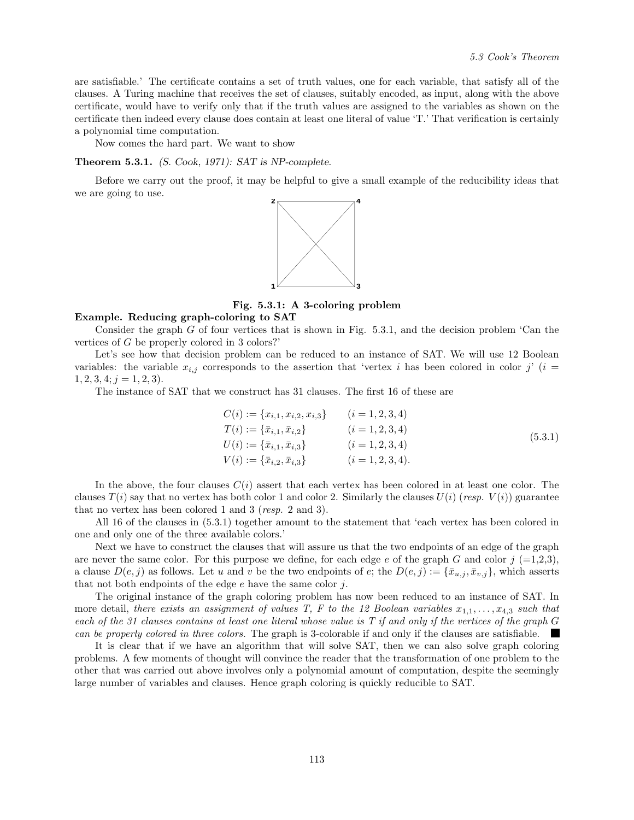are satisfiable.' The certificate contains a set of truth values, one for each variable, that satisfy all of the clauses. A Turing machine that receives the set of clauses, suitably encoded, as input, along with the above certificate, would have to verify only that if the truth values are assigned to the variables as shown on the certificate then indeed every clause does contain at least one literal of value 'T.' That verification is certainly a polynomial time computation.

Now comes the hard part. We want to show

**Theorem 5.3.1.** *(S. Cook, 1971): SAT is NP-complete.*

Before we carry out the proof, it may be helpful to give a small example of the reducibility ideas that we are going to use.



**Fig. 5.3.1: A 3-coloring problem**

#### **Example. Reducing graph-coloring to SAT**

Consider the graph G of four vertices that is shown in Fig. 5.3.1, and the decision problem 'Can the vertices of G be properly colored in 3 colors?'

Let's see how that decision problem can be reduced to an instance of SAT. We will use 12 Boolean variables: the variable  $x_{i,j}$  corresponds to the assertion that 'vertex i has been colored in color j' (i =  $1, 2, 3, 4; j = 1, 2, 3.$ 

The instance of SAT that we construct has 31 clauses. The first 16 of these are

$$
C(i) := \{x_{i,1}, x_{i,2}, x_{i,3}\} \qquad (i = 1, 2, 3, 4)
$$
  
\n
$$
T(i) := \{\bar{x}_{i,1}, \bar{x}_{i,2}\} \qquad (i = 1, 2, 3, 4)
$$
  
\n
$$
U(i) := \{\bar{x}_{i,1}, \bar{x}_{i,3}\} \qquad (i = 1, 2, 3, 4)
$$
  
\n
$$
V(i) := \{\bar{x}_{i,2}, \bar{x}_{i,3}\} \qquad (i = 1, 2, 3, 4).
$$
\n(5.3.1)

In the above, the four clauses  $C(i)$  assert that each vertex has been colored in at least one color. The clauses  $T(i)$  say that no vertex has both color 1 and color 2. Similarly the clauses  $U(i)$  (resp.  $V(i)$ ) guarantee that no vertex has been colored 1 and 3 (resp. 2 and 3).

All 16 of the clauses in (5.3.1) together amount to the statement that 'each vertex has been colored in one and only one of the three available colors.'

Next we have to construct the clauses that will assure us that the two endpoints of an edge of the graph are never the same color. For this purpose we define, for each edge e of the graph G and color  $j$  (=1,2,3), a clause  $D(e, j)$  as follows. Let u and v be the two endpoints of e; the  $D(e, j) := \{x_{u,j}, x_{v,j}\}$ , which asserts that not both endpoints of the edge  $e$  have the same color  $j$ .

The original instance of the graph coloring problem has now been reduced to an instance of SAT. In more detail, there exists an assignment of values T, F to the 12 Boolean variables  $x_{1,1},...,x_{4,3}$  such that each of the 31 clauses contains at least one literal whose value is T if and only if the vertices of the graph G can be properly colored in three colors. The graph is 3-colorable if and only if the clauses are satisfiable.

It is clear that if we have an algorithm that will solve SAT, then we can also solve graph coloring problems. A few moments of thought will convince the reader that the transformation of one problem to the other that was carried out above involves only a polynomial amount of computation, despite the seemingly large number of variables and clauses. Hence graph coloring is quickly reducible to SAT.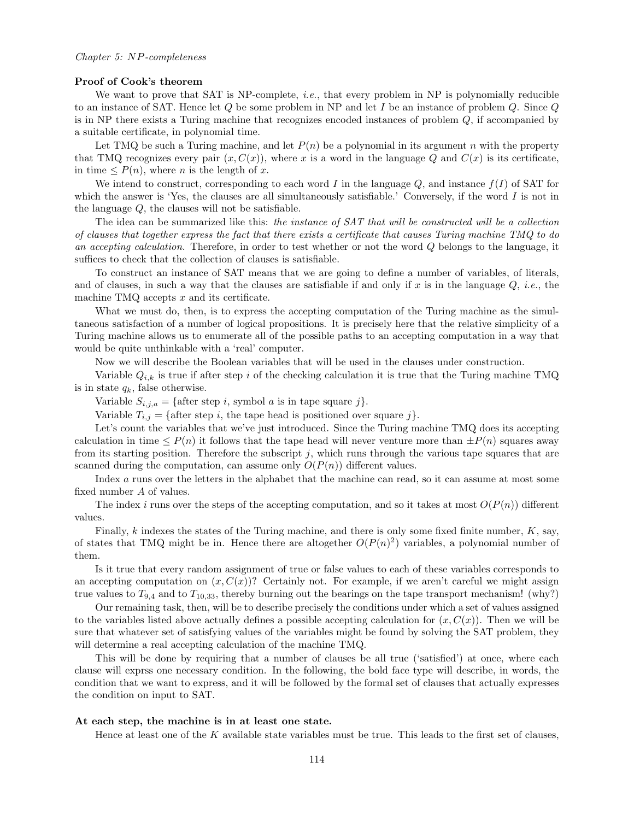#### **Proof of Cook's theorem**

We want to prove that SAT is NP-complete, *i.e.*, that every problem in NP is polynomially reducible to an instance of SAT. Hence let  $Q$  be some problem in NP and let  $I$  be an instance of problem  $Q$ . Since  $Q$ is in NP there exists a Turing machine that recognizes encoded instances of problem Q, if accompanied by a suitable certificate, in polynomial time.

Let TMQ be such a Turing machine, and let  $P(n)$  be a polynomial in its argument n with the property that TMQ recognizes every pair  $(x, C(x))$ , where x is a word in the language Q and  $C(x)$  is its certificate, in time  $\leq P(n)$ , where *n* is the length of *x*.

We intend to construct, corresponding to each word I in the language Q, and instance  $f(I)$  of SAT for which the answer is 'Yes, the clauses are all simultaneously satisfiable.' Conversely, if the word I is not in the language Q, the clauses will not be satisfiable.

The idea can be summarized like this: the instance of SAT that will be constructed will be a collection of clauses that together express the fact that there exists a certificate that causes Turing machine TMQ to do an accepting calculation. Therefore, in order to test whether or not the word Q belongs to the language, it suffices to check that the collection of clauses is satisfiable.

To construct an instance of SAT means that we are going to define a number of variables, of literals, and of clauses, in such a way that the clauses are satisfiable if and only if  $x$  is in the language  $Q$ , *i.e.*, the machine  $TMQ$  accepts x and its certificate.

What we must do, then, is to express the accepting computation of the Turing machine as the simultaneous satisfaction of a number of logical propositions. It is precisely here that the relative simplicity of a Turing machine allows us to enumerate all of the possible paths to an accepting computation in a way that would be quite unthinkable with a 'real' computer.

Now we will describe the Boolean variables that will be used in the clauses under construction.

Variable  $Q_{i,k}$  is true if after step i of the checking calculation it is true that the Turing machine TMQ is in state  $q_k$ , false otherwise.

Variable  $S_{i,j,a} = \{$  after step i, symbol a is in tape square j $\}.$ 

Variable  $T_{i,j} = \{$  after step i, the tape head is positioned over square j.

Let's count the variables that we've just introduced. Since the Turing machine TMQ does its accepting calculation in time  $\leq P(n)$  it follows that the tape head will never venture more than  $\pm P(n)$  squares away from its starting position. Therefore the subscript  $j$ , which runs through the various tape squares that are scanned during the computation, can assume only  $O(P(n))$  different values.

Index a runs over the letters in the alphabet that the machine can read, so it can assume at most some fixed number A of values.

The index i runs over the steps of the accepting computation, and so it takes at most  $O(P(n))$  different values.

Finally, k indexes the states of the Turing machine, and there is only some fixed finite number,  $K$ , say, of states that TMQ might be in. Hence there are altogether  $O(P(n)^2)$  variables, a polynomial number of them.

Is it true that every random assignment of true or false values to each of these variables corresponds to an accepting computation on  $(x, C(x))$ ? Certainly not. For example, if we aren't careful we might assign true values to  $T_{9,4}$  and to  $T_{10,33}$ , thereby burning out the bearings on the tape transport mechanism! (why?)

Our remaining task, then, will be to describe precisely the conditions under which a set of values assigned to the variables listed above actually defines a possible accepting calculation for  $(x, C(x))$ . Then we will be sure that whatever set of satisfying values of the variables might be found by solving the SAT problem, they will determine a real accepting calculation of the machine TMQ.

This will be done by requiring that a number of clauses be all true ('satisfied') at once, where each clause will exprss one necessary condition. In the following, the bold face type will describe, in words, the condition that we want to express, and it will be followed by the formal set of clauses that actually expresses the condition on input to SAT.

#### **At each step, the machine is in at least one state.**

Hence at least one of the  $K$  available state variables must be true. This leads to the first set of clauses,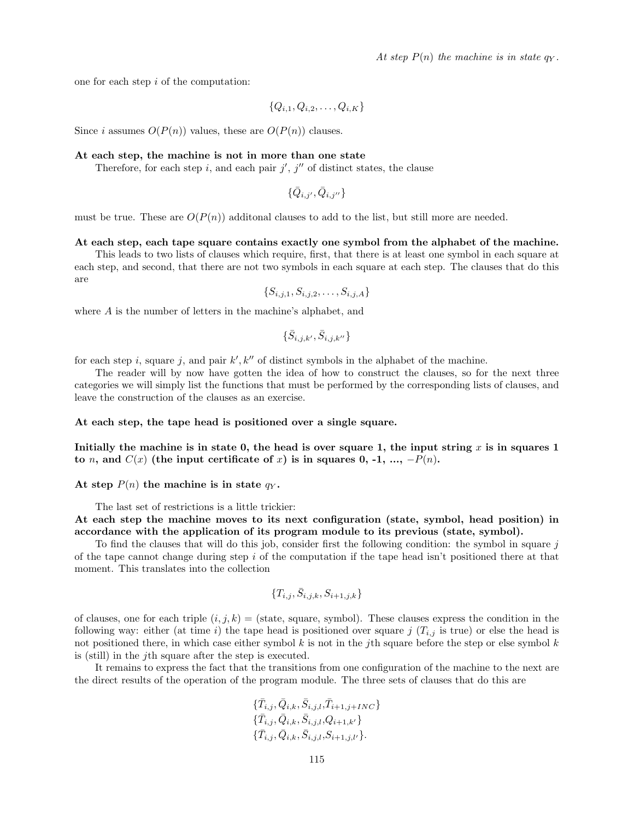At step  $P(n)$  the machine is in state  $q<sub>Y</sub>$ .

one for each step i of the computation:

$$
\{Q_{i,1}, Q_{i,2}, \ldots, Q_{i,K}\}
$$

Since i assumes  $O(P(n))$  values, these are  $O(P(n))$  clauses.

#### **At each step, the machine is not in more than one state**

Therefore, for each step i, and each pair  $j'$ ,  $j''$  of distinct states, the clause

 $\{\bar{Q}_{i,j'}, \bar{Q}_{i,j''}\}\$ 

must be true. These are  $O(P(n))$  additional clauses to add to the list, but still more are needed.

#### **At each step, each tape square contains exactly one symbol from the alphabet of the machine.**

This leads to two lists of clauses which require, first, that there is at least one symbol in each square at each step, and second, that there are not two symbols in each square at each step. The clauses that do this are

$$
\{S_{i,j,1}, S_{i,j,2}, \ldots, S_{i,j,A}\}
$$

where A is the number of letters in the machine's alphabet, and

$$
\{\bar{S}_{i,j,k'},\bar{S}_{i,j,k''}\}
$$

for each step i, square j, and pair  $k', k''$  of distinct symbols in the alphabet of the machine.

The reader will by now have gotten the idea of how to construct the clauses, so for the next three categories we will simply list the functions that must be performed by the corresponding lists of clauses, and leave the construction of the clauses as an exercise.

**At each step, the tape head is positioned over a single square.**

Initially the machine is in state 0, the head is over square 1, the input string  $x$  is in squares 1 **to** n, and  $C(x)$  (the input certificate of x) is in squares 0, -1, ...,  $-P(n)$ .

At step  $P(n)$  the machine is in state  $q_Y$ .

The last set of restrictions is a little trickier:

**At each step the machine moves to its next configuration (state, symbol, head position) in accordance with the application of its program module to its previous (state, symbol).**

To find the clauses that will do this job, consider first the following condition: the symbol in square j of the tape cannot change during step  $i$  of the computation if the tape head isn't positioned there at that moment. This translates into the collection

$$
\{T_{i,j}, \bar{S}_{i,j,k}, S_{i+1,j,k}\}
$$

of clauses, one for each triple  $(i, j, k)$  = (state, square, symbol). These clauses express the condition in the following way: either (at time i) the tape head is positioned over square j  $(T_{i,j}$  is true) or else the head is not positioned there, in which case either symbol  $k$  is not in the jth square before the step or else symbol  $k$ is (still) in the jth square after the step is executed.

It remains to express the fact that the transitions from one configuration of the machine to the next are the direct results of the operation of the program module. The three sets of clauses that do this are

$$
\{\bar{T}_{i,j}, \bar{Q}_{i,k}, \bar{S}_{i,j,l}, \bar{T}_{i+1,j+INC}\}\
$$

$$
\{\bar{T}_{i,j}, \bar{Q}_{i,k}, \bar{S}_{i,j,l}, Q_{i+1,k'}\}\
$$

$$
\{\bar{T}_{i,j}, \bar{Q}_{i,k}, \bar{S}_{i,j,l}, S_{i+1,j,l'}\}.
$$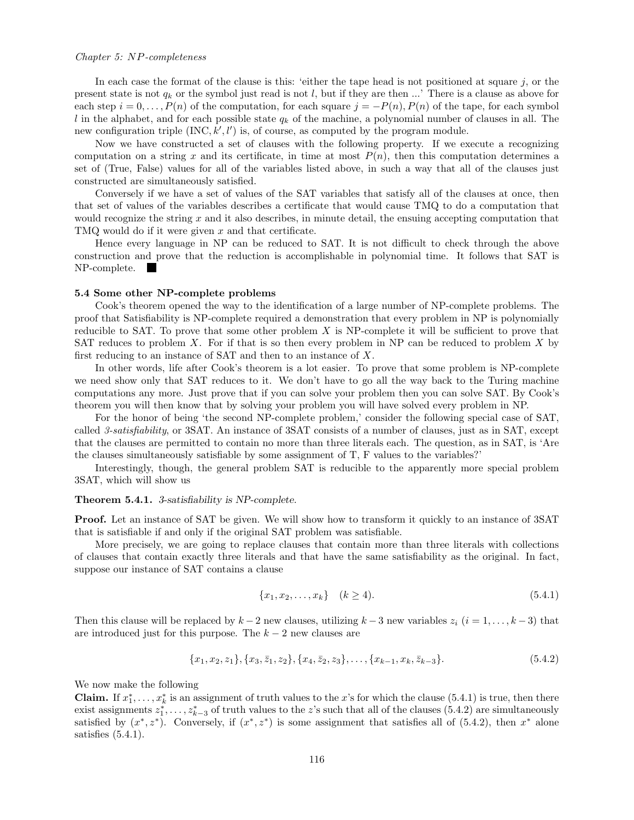In each case the format of the clause is this: 'either the tape head is not positioned at square  $i$ , or the present state is not  $q_k$  or the symbol just read is not l, but if they are then ...' There is a clause as above for each step  $i = 0, \ldots, P(n)$  of the computation, for each square  $j = -P(n), P(n)$  of the tape, for each symbol l in the alphabet, and for each possible state  $q_k$  of the machine, a polynomial number of clauses in all. The new configuration triple  $(INC, k', l')$  is, of course, as computed by the program module.

Now we have constructed a set of clauses with the following property. If we execute a recognizing computation on a string x and its certificate, in time at most  $P(n)$ , then this computation determines a set of (True, False) values for all of the variables listed above, in such a way that all of the clauses just constructed are simultaneously satisfied.

Conversely if we have a set of values of the SAT variables that satisfy all of the clauses at once, then that set of values of the variables describes a certificate that would cause TMQ to do a computation that would recognize the string  $x$  and it also describes, in minute detail, the ensuing accepting computation that TMQ would do if it were given x and that certificate.

Hence every language in NP can be reduced to SAT. It is not difficult to check through the above construction and prove that the reduction is accomplishable in polynomial time. It follows that SAT is NP-complete.  $\Box$ 

### **5.4 Some other NP-complete problems**

Cook's theorem opened the way to the identification of a large number of NP-complete problems. The proof that Satisfiability is NP-complete required a demonstration that every problem in NP is polynomially reducible to SAT. To prove that some other problem  $X$  is NP-complete it will be sufficient to prove that SAT reduces to problem  $X$ . For if that is so then every problem in NP can be reduced to problem  $X$  by first reducing to an instance of SAT and then to an instance of X.

In other words, life after Cook's theorem is a lot easier. To prove that some problem is NP-complete we need show only that SAT reduces to it. We don't have to go all the way back to the Turing machine computations any more. Just prove that if you can solve your problem then you can solve SAT. By Cook's theorem you will then know that by solving your problem you will have solved every problem in NP.

For the honor of being 'the second NP-complete problem,' consider the following special case of SAT, called 3-satisfiability, or 3SAT. An instance of 3SAT consists of a number of clauses, just as in SAT, except that the clauses are permitted to contain no more than three literals each. The question, as in SAT, is 'Are the clauses simultaneously satisfiable by some assignment of T, F values to the variables?'

Interestingly, though, the general problem SAT is reducible to the apparently more special problem 3SAT, which will show us

## **Theorem 5.4.1.** *3-satisfiability is NP-complete.*

**Proof.** Let an instance of SAT be given. We will show how to transform it quickly to an instance of 3SAT that is satisfiable if and only if the original SAT problem was satisfiable.

More precisely, we are going to replace clauses that contain more than three literals with collections of clauses that contain exactly three literals and that have the same satisfiability as the original. In fact, suppose our instance of SAT contains a clause

$$
\{x_1, x_2, \dots, x_k\} \quad (k \ge 4). \tag{5.4.1}
$$

Then this clause will be replaced by  $k-2$  new clauses, utilizing  $k-3$  new variables  $z_i$   $(i = 1, \ldots, k-3)$  that are introduced just for this purpose. The  $k-2$  new clauses are

$$
\{x_1, x_2, z_1\}, \{x_3, \bar{z}_1, z_2\}, \{x_4, \bar{z}_2, z_3\}, \dots, \{x_{k-1}, x_k, \bar{z}_{k-3}\}.
$$
\n
$$
(5.4.2)
$$

We now make the following

**Claim.** If  $x_1^*, \ldots, x_k^*$  is an assignment of truth values to the x's for which the clause (5.4.1) is true, then there exist assignments  $z_1^*, \ldots, z_{k-3}^*$  of truth values to the z's such that all of the clauses  $(5.4.2)$  are simultaneously satisfied by  $(x^*, z^*)$ . Conversely, if  $(x^*, z^*)$  is some assignment that satisfies all of (5.4.2), then  $x^*$  alone satisfies (5.4.1).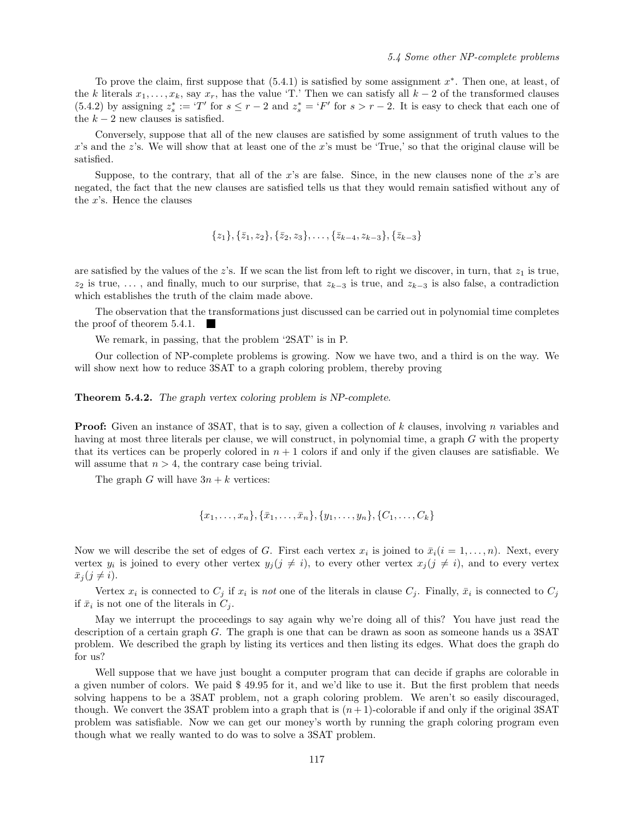To prove the claim, first suppose that  $(5.4.1)$  is satisfied by some assignment  $x^*$ . Then one, at least, of the k literals  $x_1, \ldots, x_k$ , say  $x_r$ , has the value 'T.' Then we can satisfy all  $k-2$  of the transformed clauses (5.4.2) by assigning  $z_s^* := T'$  for  $s \le r - 2$  and  $z_s^* = 'F'$  for  $s > r - 2$ . It is easy to check that each one of the  $k-2$  new clauses is satisfied.

Conversely, suppose that all of the new clauses are satisfied by some assignment of truth values to the x's and the z's. We will show that at least one of the x's must be 'True,' so that the original clause will be satisfied.

Suppose, to the contrary, that all of the  $x$ 's are false. Since, in the new clauses none of the  $x$ 's are negated, the fact that the new clauses are satisfied tells us that they would remain satisfied without any of the  $x$ 's. Hence the clauses

$$
{z_1}, {z_1}, {z_2}, {z_2}, {z_3}, \ldots, {z_{k-4}, z_{k-3}}, {z_{k-3}}
$$

are satisfied by the values of the z's. If we scan the list from left to right we discover, in turn, that  $z_1$  is true,  $z_2$  is true, ..., and finally, much to our surprise, that  $z_{k-3}$  is true, and  $z_{k-3}$  is also false, a contradiction which establishes the truth of the claim made above.

The observation that the transformations just discussed can be carried out in polynomial time completes the proof of theorem 5.4.1.

We remark, in passing, that the problem '2SAT' is in P.

Our collection of NP-complete problems is growing. Now we have two, and a third is on the way. We will show next how to reduce  $3SAT$  to a graph coloring problem, thereby proving

**Theorem 5.4.2.** *The graph vertex coloring problem is NP-complete.*

**Proof:** Given an instance of 3SAT, that is to say, given a collection of k clauses, involving n variables and having at most three literals per clause, we will construct, in polynomial time, a graph G with the property that its vertices can be properly colored in  $n + 1$  colors if and only if the given clauses are satisfiable. We will assume that  $n > 4$ , the contrary case being trivial.

The graph G will have  $3n + k$  vertices:

 ${x_1,\ldots,x_n}, \{\bar{x}_1,\ldots,\bar{x}_n\}, \{y_1,\ldots,y_n\}, \{C_1,\ldots,C_k\}$ 

Now we will describe the set of edges of G. First each vertex  $x_i$  is joined to  $\bar{x}_i(i = 1, \ldots, n)$ . Next, every vertex  $y_i$  is joined to every other vertex  $y_j (j \neq i)$ , to every other vertex  $x_j (j \neq i)$ , and to every vertex  $\bar{x}_j (j \neq i).$ 

Vertex  $x_i$  is connected to  $C_j$  if  $x_i$  is not one of the literals in clause  $C_j$ . Finally,  $\bar{x}_i$  is connected to  $C_j$ if  $\bar{x}_i$  is not one of the literals in  $C_i$ .

May we interrupt the proceedings to say again why we're doing all of this? You have just read the description of a certain graph G. The graph is one that can be drawn as soon as someone hands us a 3SAT problem. We described the graph by listing its vertices and then listing its edges. What does the graph do for us?

Well suppose that we have just bought a computer program that can decide if graphs are colorable in a given number of colors. We paid \$ 49.95 for it, and we'd like to use it. But the first problem that needs solving happens to be a 3SAT problem, not a graph coloring problem. We aren't so easily discouraged, though. We convert the 3SAT problem into a graph that is  $(n+1)$ -colorable if and only if the original 3SAT problem was satisfiable. Now we can get our money's worth by running the graph coloring program even though what we really wanted to do was to solve a 3SAT problem.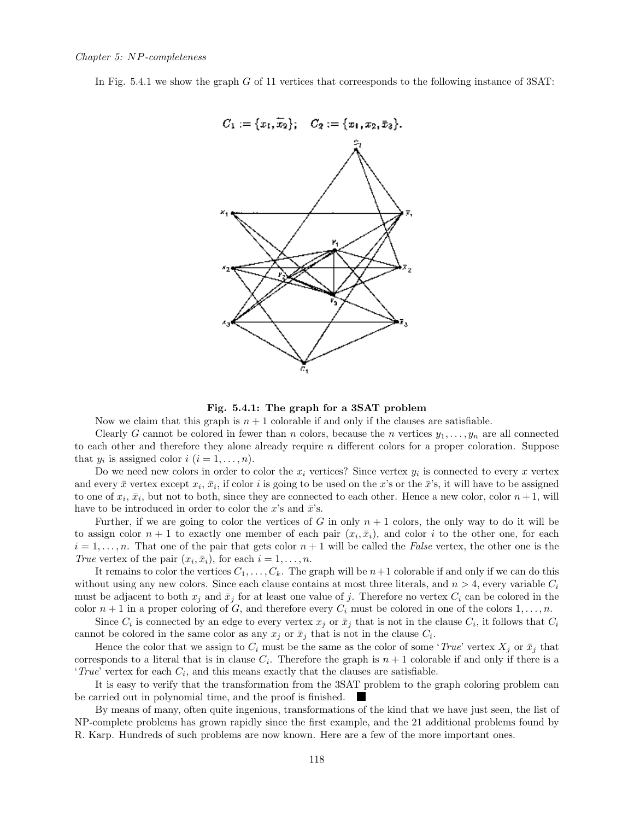In Fig. 5.4.1 we show the graph G of 11 vertices that corresponds to the following instance of 3SAT:



**Fig. 5.4.1: The graph for a 3SAT problem**

Now we claim that this graph is  $n + 1$  colorable if and only if the clauses are satisfiable.

Clearly G cannot be colored in fewer than n colors, because the n vertices  $y_1, \ldots, y_n$  are all connected to each other and therefore they alone already require n different colors for a proper coloration. Suppose that  $y_i$  is assigned color  $i$   $(i = 1, \ldots, n)$ .

Do we need new colors in order to color the  $x_i$  vertices? Since vertex  $y_i$  is connected to every x vertex and every  $\bar{x}$  vertex except  $x_i$ ,  $\bar{x}_i$ , if color i is going to be used on the x's or the  $\bar{x}$ 's, it will have to be assigned to one of  $x_i$ ,  $\bar{x}_i$ , but not to both, since they are connected to each other. Hence a new color, color  $n+1$ , will have to be introduced in order to color the x's and  $\bar{x}$ 's.

Further, if we are going to color the vertices of G in only  $n + 1$  colors, the only way to do it will be to assign color  $n + 1$  to exactly one member of each pair  $(x_i, \bar{x}_i)$ , and color i to the other one, for each  $i = 1, \ldots, n$ . That one of the pair that gets color  $n + 1$  will be called the *False* vertex, the other one is the True vertex of the pair  $(x_i, \bar{x}_i)$ , for each  $i = 1, \ldots, n$ .

It remains to color the vertices  $C_1,\ldots,C_k$ . The graph will be  $n+1$  colorable if and only if we can do this without using any new colors. Since each clause contains at most three literals, and  $n > 4$ , every variable  $C_i$ must be adjacent to both  $x_j$  and  $\bar{x}_j$  for at least one value of j. Therefore no vertex  $C_i$  can be colored in the color  $n + 1$  in a proper coloring of G, and therefore every  $C_i$  must be colored in one of the colors  $1, \ldots, n$ .

Since  $C_i$  is connected by an edge to every vertex  $x_j$  or  $\bar{x}_j$  that is not in the clause  $C_i$ , it follows that  $C_i$ cannot be colored in the same color as any  $x_j$  or  $\bar{x}_j$  that is not in the clause  $C_i$ .

Hence the color that we assign to  $C_i$  must be the same as the color of some 'True' vertex  $X_i$  or  $\bar{x}_i$  that corresponds to a literal that is in clause  $C_i$ . Therefore the graph is  $n + 1$  colorable if and only if there is a 'True' vertex for each  $C_i$ , and this means exactly that the clauses are satisfiable.

It is easy to verify that the transformation from the 3SAT problem to the graph coloring problem can be carried out in polynomial time, and the proof is finished.

By means of many, often quite ingenious, transformations of the kind that we have just seen, the list of NP-complete problems has grown rapidly since the first example, and the 21 additional problems found by R. Karp. Hundreds of such problems are now known. Here are a few of the more important ones.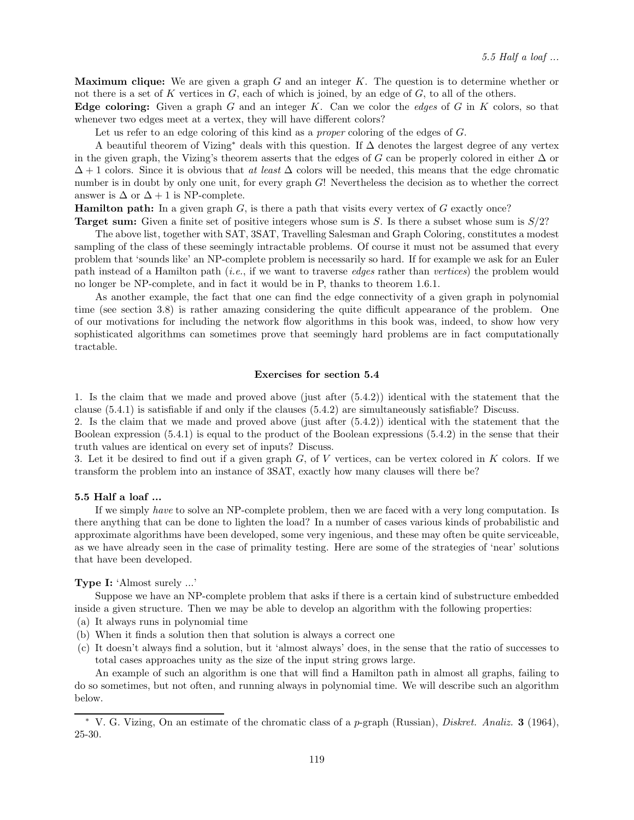**Maximum clique:** We are given a graph G and an integer K. The question is to determine whether or not there is a set of K vertices in  $G$ , each of which is joined, by an edge of  $G$ , to all of the others.

**Edge coloring:** Given a graph G and an integer K. Can we color the edges of G in K colors, so that whenever two edges meet at a vertex, they will have different colors?

Let us refer to an edge coloring of this kind as a *proper* coloring of the edges of G.

A beautiful theorem of Vizing<sup>∗</sup> deals with this question. If  $\Delta$  denotes the largest degree of any vertex in the given graph, the Vizing's theorem asserts that the edges of G can be properly colored in either  $\Delta$  or  $\Delta + 1$  colors. Since it is obvious that at least  $\Delta$  colors will be needed, this means that the edge chromatic number is in doubt by only one unit, for every graph  $G!$ . Nevertheless the decision as to whether the correct answer is  $\Delta$  or  $\Delta + 1$  is NP-complete.

**Hamilton path:** In a given graph G, is there a path that visits every vertex of G exactly once?

**Target sum:** Given a finite set of positive integers whose sum is  $S$ . Is there a subset whose sum is  $S/2$ ?

The above list, together with SAT, 3SAT, Travelling Salesman and Graph Coloring, constitutes a modest sampling of the class of these seemingly intractable problems. Of course it must not be assumed that every problem that 'sounds like' an NP-complete problem is necessarily so hard. If for example we ask for an Euler path instead of a Hamilton path (i.e., if we want to traverse edges rather than vertices) the problem would no longer be NP-complete, and in fact it would be in P, thanks to theorem 1.6.1.

As another example, the fact that one can find the edge connectivity of a given graph in polynomial time (see section 3.8) is rather amazing considering the quite difficult appearance of the problem. One of our motivations for including the network flow algorithms in this book was, indeed, to show how very sophisticated algorithms can sometimes prove that seemingly hard problems are in fact computationally tractable.

### **Exercises for section 5.4**

1. Is the claim that we made and proved above (just after (5.4.2)) identical with the statement that the clause (5.4.1) is satisfiable if and only if the clauses (5.4.2) are simultaneously satisfiable? Discuss.

2. Is the claim that we made and proved above (just after (5.4.2)) identical with the statement that the Boolean expression (5.4.1) is equal to the product of the Boolean expressions (5.4.2) in the sense that their truth values are identical on every set of inputs? Discuss.

3. Let it be desired to find out if a given graph  $G$ , of V vertices, can be vertex colored in  $K$  colors. If we transform the problem into an instance of 3SAT, exactly how many clauses will there be?

#### **5.5 Half a loaf ...**

If we simply have to solve an NP-complete problem, then we are faced with a very long computation. Is there anything that can be done to lighten the load? In a number of cases various kinds of probabilistic and approximate algorithms have been developed, some very ingenious, and these may often be quite serviceable, as we have already seen in the case of primality testing. Here are some of the strategies of 'near' solutions that have been developed.

**Type I:** 'Almost surely ...'

Suppose we have an NP-complete problem that asks if there is a certain kind of substructure embedded inside a given structure. Then we may be able to develop an algorithm with the following properties:

- (a) It always runs in polynomial time
- (b) When it finds a solution then that solution is always a correct one
- (c) It doesn't always find a solution, but it 'almost always' does, in the sense that the ratio of successes to total cases approaches unity as the size of the input string grows large.

An example of such an algorithm is one that will find a Hamilton path in almost all graphs, failing to do so sometimes, but not often, and running always in polynomial time. We will describe such an algorithm below.

<sup>∗</sup> V. G. Vizing, On an estimate of the chromatic class of a p-graph (Russian), Diskret. Analiz. **3** (1964), 25-30.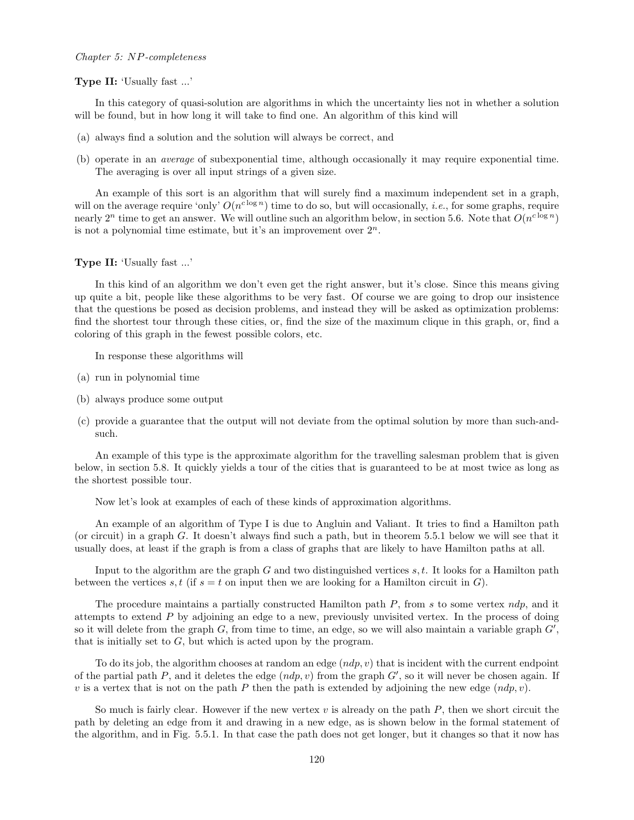#### **Type II:** 'Usually fast ...'

In this category of quasi-solution are algorithms in which the uncertainty lies not in whether a solution will be found, but in how long it will take to find one. An algorithm of this kind will

- (a) always find a solution and the solution will always be correct, and
- (b) operate in an average of subexponential time, although occasionally it may require exponential time. The averaging is over all input strings of a given size.

An example of this sort is an algorithm that will surely find a maximum independent set in a graph, will on the average require 'only'  $O(n^{c \log n})$  time to do so, but will occasionally, *i.e.*, for some graphs, require nearly  $2^n$  time to get an answer. We will outline such an algorithm below, in section 5.6. Note that  $O(n^{c \log n})$ is not a polynomial time estimate, but it's an improvement over  $2^n$ .

#### **Type II:** 'Usually fast ...'

In this kind of an algorithm we don't even get the right answer, but it's close. Since this means giving up quite a bit, people like these algorithms to be very fast. Of course we are going to drop our insistence that the questions be posed as decision problems, and instead they will be asked as optimization problems: find the shortest tour through these cities, or, find the size of the maximum clique in this graph, or, find a coloring of this graph in the fewest possible colors, etc.

In response these algorithms will

- (a) run in polynomial time
- (b) always produce some output
- (c) provide a guarantee that the output will not deviate from the optimal solution by more than such-andsuch.

An example of this type is the approximate algorithm for the travelling salesman problem that is given below, in section 5.8. It quickly yields a tour of the cities that is guaranteed to be at most twice as long as the shortest possible tour.

Now let's look at examples of each of these kinds of approximation algorithms.

An example of an algorithm of Type I is due to Angluin and Valiant. It tries to find a Hamilton path (or circuit) in a graph G. It doesn't always find such a path, but in theorem 5.5.1 below we will see that it usually does, at least if the graph is from a class of graphs that are likely to have Hamilton paths at all.

Input to the algorithm are the graph G and two distinguished vertices  $s, t$ . It looks for a Hamilton path between the vertices s, t (if  $s = t$  on input then we are looking for a Hamilton circuit in  $G$ ).

The procedure maintains a partially constructed Hamilton path  $P$ , from  $s$  to some vertex  $ndp$ , and it attempts to extend P by adjoining an edge to a new, previously unvisited vertex. In the process of doing so it will delete from the graph  $G$ , from time to time, an edge, so we will also maintain a variable graph  $G'$ , that is initially set to  $G$ , but which is acted upon by the program.

To do its job, the algorithm chooses at random an edge  $(ndp, v)$  that is incident with the current endpoint of the partial path P, and it deletes the edge  $(ndp, v)$  from the graph G', so it will never be chosen again. If v is a vertex that is not on the path P then the path is extended by adjoining the new edge  $(ndp, v)$ .

So much is fairly clear. However if the new vertex  $v$  is already on the path  $P$ , then we short circuit the path by deleting an edge from it and drawing in a new edge, as is shown below in the formal statement of the algorithm, and in Fig. 5.5.1. In that case the path does not get longer, but it changes so that it now has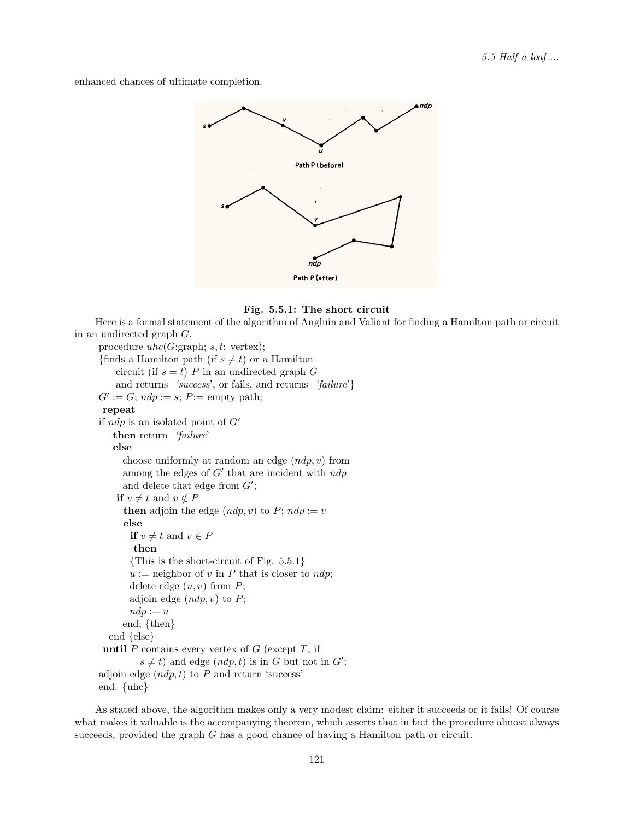enhanced chances of ultimate completion.



#### **Fig. 5.5.1: The short circuit**

Here is a formal statement of the algorithm of Angluin and Valiant for finding a Hamilton path or circuit in an undirected graph G.

```
procedure uhc(G:graph; s, t: vertex);{finds a Hamilton path (if s \neq t) or a Hamilton
   circuit (if s = t) P in an undirected graph G
   and returns 'success', or fails, and returns 'failure'}
G' := G; ndp := s; P := empty path;
repeat
if ndp is an isolated point of G'then return 'failure'
   else
     choose uniformly at random an edge (ndp, v) from
     among the edges of G' that are incident with ndpand delete that edge from G';
    if v \neq t and v \notin Pthen adjoin the edge (ndp, v) to P; ndp := velse
       if v \neq t and v \in Pthen
       {This is the short-circuit of Fig. 5.5.1}
       u := neighbor of v in P that is closer to ndp;
       delete edge (u, v) from P;
       adjoin edge (ndp, v) to P;
       ndp := uend; {then}
  end {else}
 until P contains every vertex of G (except T, if
         s \neq t) and edge (ndp, t) is in G but not in G';
adjoin edge (ndp, t) to P and return 'success'
end. {uhc}
```
As stated above, the algorithm makes only a very modest claim: either it succeeds or it fails! Of course what makes it valuable is the accompanying theorem, which asserts that in fact the procedure almost always succeeds, provided the graph G has a good chance of having a Hamilton path or circuit.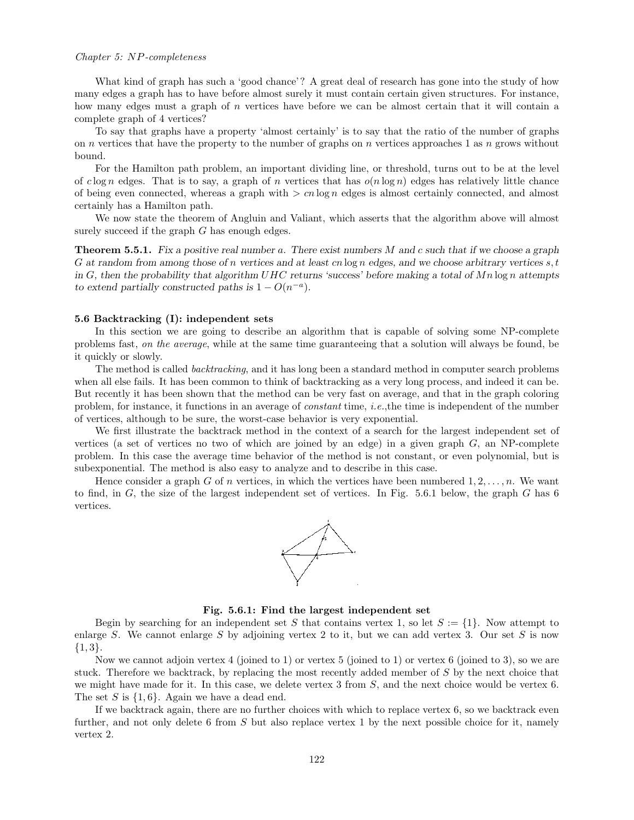What kind of graph has such a 'good chance'? A great deal of research has gone into the study of how many edges a graph has to have before almost surely it must contain certain given structures. For instance, how many edges must a graph of n vertices have before we can be almost certain that it will contain a complete graph of 4 vertices?

To say that graphs have a property 'almost certainly' is to say that the ratio of the number of graphs on n vertices that have the property to the number of graphs on n vertices approaches 1 as n grows without bound.

For the Hamilton path problem, an important dividing line, or threshold, turns out to be at the level of c log n edges. That is to say, a graph of n vertices that has  $o(n \log n)$  edges has relatively little chance of being even connected, whereas a graph with  $> cn \log n$  edges is almost certainly connected, and almost certainly has a Hamilton path.

We now state the theorem of Angluin and Valiant, which asserts that the algorithm above will almost surely succeed if the graph  $G$  has enough edges.

**Theorem 5.5.1.** *Fix a positive real number* a*. There exist numbers* M *and* c *such that if we choose a graph* G *at random from among those of* n *vertices and at least* cn log n *edges, and we choose arbitrary vertices* s, t *in* G*, then the probability that algorithm* UHC *returns 'success' before making a total of* Mn log n *attempts to extend partially constructed paths is*  $1 - O(n^{-a})$ .

#### **5.6 Backtracking (I): independent sets**

In this section we are going to describe an algorithm that is capable of solving some NP-complete problems fast, on the average, while at the same time guaranteeing that a solution will always be found, be it quickly or slowly.

The method is called backtracking, and it has long been a standard method in computer search problems when all else fails. It has been common to think of backtracking as a very long process, and indeed it can be. But recently it has been shown that the method can be very fast on average, and that in the graph coloring problem, for instance, it functions in an average of constant time, i.e.,the time is independent of the number of vertices, although to be sure, the worst-case behavior is very exponential.

We first illustrate the backtrack method in the context of a search for the largest independent set of vertices (a set of vertices no two of which are joined by an edge) in a given graph  $G$ , an NP-complete problem. In this case the average time behavior of the method is not constant, or even polynomial, but is subexponential. The method is also easy to analyze and to describe in this case.

Hence consider a graph G of n vertices, in which the vertices have been numbered  $1, 2, \ldots, n$ . We want to find, in G, the size of the largest independent set of vertices. In Fig. 5.6.1 below, the graph G has 6 vertices.



**Fig. 5.6.1: Find the largest independent set**

Begin by searching for an independent set S that contains vertex 1, so let  $S := \{1\}$ . Now attempt to enlarge S. We cannot enlarge S by adjoining vertex 2 to it, but we can add vertex 3. Our set S is now  ${1,3}.$ 

Now we cannot adjoin vertex 4 (joined to 1) or vertex 5 (joined to 1) or vertex 6 (joined to 3), so we are stuck. Therefore we backtrack, by replacing the most recently added member of  $S$  by the next choice that we might have made for it. In this case, we delete vertex 3 from S, and the next choice would be vertex 6. The set S is  $\{1,6\}$ . Again we have a dead end.

If we backtrack again, there are no further choices with which to replace vertex 6, so we backtrack even further, and not only delete 6 from  $S$  but also replace vertex 1 by the next possible choice for it, namely vertex 2.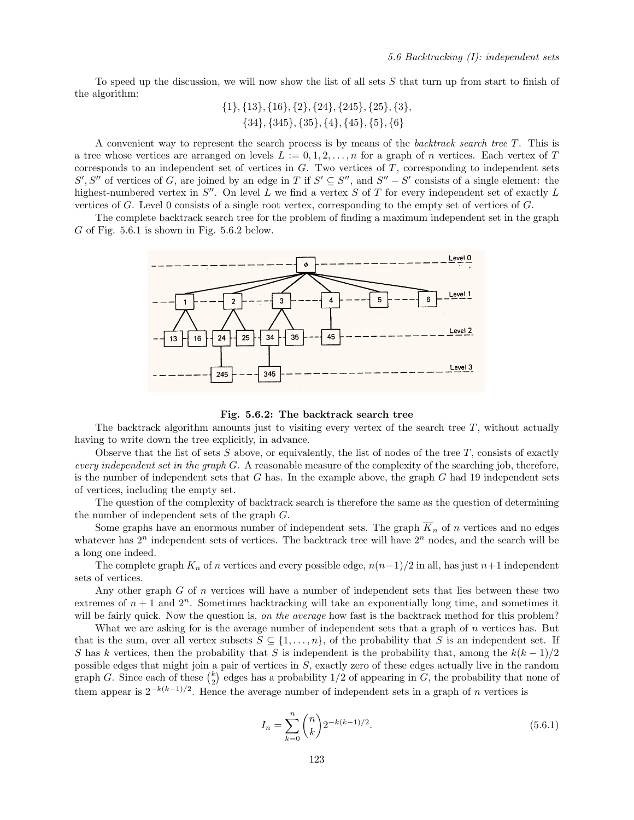To speed up the discussion, we will now show the list of all sets S that turn up from start to finish of the algorithm:

$$
{1}, {13}, {16}, {2}, {24}, {245}, {25}, {3}, {34}, {345}, {35}, {4}, {45}, {5}, {5}, {6}
$$

A convenient way to represent the search process is by means of the backtrack search tree T. This is a tree whose vertices are arranged on levels  $L := 0, 1, 2, \ldots, n$  for a graph of n vertices. Each vertex of T corresponds to an independent set of vertices in  $G$ . Two vertices of  $T$ , corresponding to independent sets  $S', S''$  of vertices of G, are joined by an edge in T if  $S' \subseteq S''$ , and  $S'' - S'$  consists of a single element: the highest-numbered vertex in  $S''$ . On level L we find a vertex S of T for every independent set of exactly L vertices of G. Level 0 consists of a single root vertex, corresponding to the empty set of vertices of G.

The complete backtrack search tree for the problem of finding a maximum independent set in the graph  $G$  of Fig. 5.6.1 is shown in Fig. 5.6.2 below.



**Fig. 5.6.2: The backtrack search tree**

The backtrack algorithm amounts just to visiting every vertex of the search tree  $T$ , without actually having to write down the tree explicitly, in advance.

Observe that the list of sets S above, or equivalently, the list of nodes of the tree  $T$ , consists of exactly every independent set in the graph  $G$ . A reasonable measure of the complexity of the searching job, therefore, is the number of independent sets that  $G$  has. In the example above, the graph  $G$  had 19 independent sets of vertices, including the empty set.

The question of the complexity of backtrack search is therefore the same as the question of determining the number of independent sets of the graph G.

Some graphs have an enormous number of independent sets. The graph  $\overline{K}_n$  of n vertices and no edges whatever has  $2^n$  independent sets of vertices. The backtrack tree will have  $2^n$  nodes, and the search will be a long one indeed.

The complete graph  $K_n$  of n vertices and every possible edge,  $n(n-1)/2$  in all, has just  $n+1$  independent sets of vertices.

Any other graph G of n vertices will have a number of independent sets that lies between these two extremes of  $n + 1$  and  $2^n$ . Sometimes backtracking will take an exponentially long time, and sometimes it will be fairly quick. Now the question is, on the average how fast is the backtrack method for this problem?

What we are asking for is the average number of independent sets that a graph of n vertices has. But that is the sum, over all vertex subsets  $S \subseteq \{1,\ldots,n\}$ , of the probability that S is an independent set. If S has k vertices, then the probability that S is independent is the probability that, among the  $k(k-1)/2$ possible edges that might join a pair of vertices in S, exactly zero of these edges actually live in the random graph G. Since each of these  $\binom{k}{2}$  edges has a probability 1/2 of appearing in G, the probability that none of them appear is  $2^{-k(k-1)/2}$ . Hence the average number of independent sets in a graph of n vertices is

$$
I_n = \sum_{k=0}^n \binom{n}{k} 2^{-k(k-1)/2}.
$$
\n(5.6.1)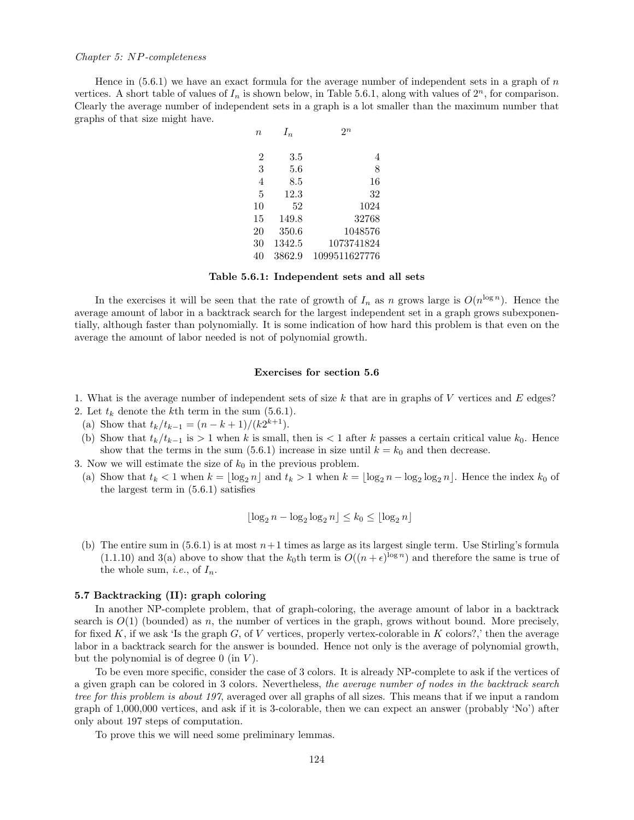Hence in  $(5.6.1)$  we have an exact formula for the average number of independent sets in a graph of n vertices. A short table of values of  $I_n$  is shown below, in Table 5.6.1, along with values of  $2^n$ , for comparison. Clearly the average number of independent sets in a graph is a lot smaller than the maximum number that graphs of that size might have.

| $\eta$         | $I_n$  | ')n           |
|----------------|--------|---------------|
| $\overline{2}$ | 3.5    | 4             |
| 3              | 5.6    | 8             |
| 4              | 8.5    | 16            |
| 5              | 12.3   | 32            |
| 10             | 52     | 1024          |
| 15             | 149.8  | 32768         |
| 20             | 350.6  | 1048576       |
| 30             | 1342.5 | 1073741824    |
| 40             | 3862.9 | 1099511627776 |

**Table 5.6.1: Independent sets and all sets**

In the exercises it will be seen that the rate of growth of  $I_n$  as n grows large is  $O(n^{\log n})$ . Hence the average amount of labor in a backtrack search for the largest independent set in a graph grows subexponentially, although faster than polynomially. It is some indication of how hard this problem is that even on the average the amount of labor needed is not of polynomial growth.

#### **Exercises for section 5.6**

- 1. What is the average number of independent sets of size k that are in graphs of  $V$  vertices and  $E$  edges?
- 2. Let  $t_k$  denote the kth term in the sum (5.6.1).
- (a) Show that  $t_k/t_{k-1} = (n k + 1)/(k2^{k+1}).$
- (b) Show that  $t_k/t_{k-1}$  is > 1 when k is small, then is < 1 after k passes a certain critical value  $k_0$ . Hence show that the terms in the sum (5.6.1) increase in size until  $k = k_0$  and then decrease.
- 3. Now we will estimate the size of  $k_0$  in the previous problem.
- (a) Show that  $t_k < 1$  when  $k = \lfloor \log_2 n \rfloor$  and  $t_k > 1$  when  $k = \lfloor \log_2 n \log_2 \log_2 n \rfloor$ . Hence the index  $k_0$  of the largest term in (5.6.1) satisfies

$$
\lfloor \log_2 n - \log_2 \log_2 n \rfloor \le k_0 \le \lfloor \log_2 n \rfloor
$$

(b) The entire sum in  $(5.6.1)$  is at most  $n+1$  times as large as its largest single term. Use Stirling's formula  $(1.1.10)$  and 3(a) above to show that the  $k_0$ th term is  $O((n+\epsilon)^{\log n})$  and therefore the same is true of the whole sum, *i.e.*, of  $I_n$ .

## **5.7 Backtracking (II): graph coloring**

In another NP-complete problem, that of graph-coloring, the average amount of labor in a backtrack search is  $O(1)$  (bounded) as n, the number of vertices in the graph, grows without bound. More precisely, for fixed K, if we ask 'Is the graph G, of V vertices, properly vertex-colorable in K colors?,' then the average labor in a backtrack search for the answer is bounded. Hence not only is the average of polynomial growth, but the polynomial is of degree  $0$  (in  $V$ ).

To be even more specific, consider the case of 3 colors. It is already NP-complete to ask if the vertices of a given graph can be colored in 3 colors. Nevertheless, the average number of nodes in the backtrack search tree for this problem is about 197, averaged over all graphs of all sizes. This means that if we input a random graph of 1,000,000 vertices, and ask if it is 3-colorable, then we can expect an answer (probably 'No') after only about 197 steps of computation.

To prove this we will need some preliminary lemmas.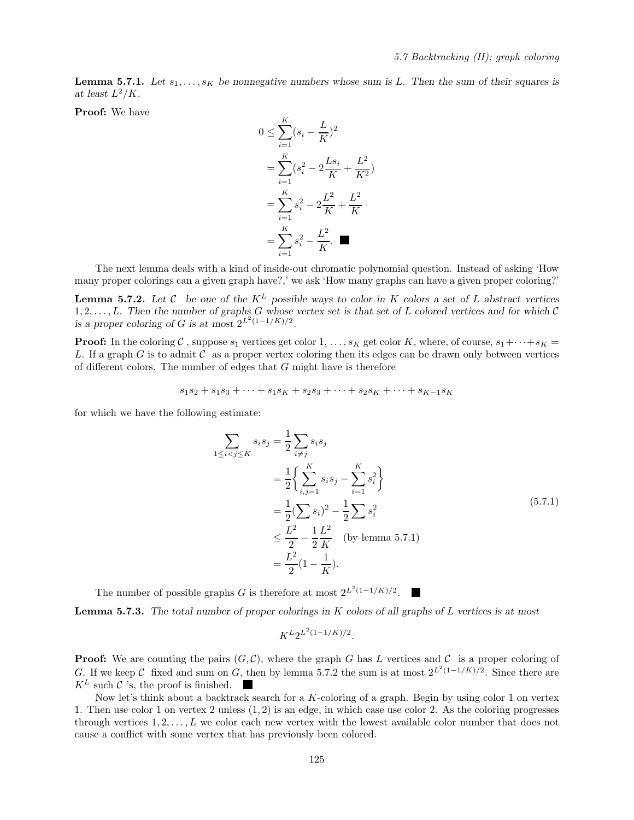**Lemma 5.7.1.** Let  $s_1, \ldots, s_K$  be nonnegative numbers whose sum is L. Then the sum of their squares is *at least*  $L^2/K$ *.* 

**Proof:** We have

$$
0 \le \sum_{i=1}^{K} (s_i - \frac{L}{K})^2
$$
  
= 
$$
\sum_{i=1}^{K} (s_i^2 - 2\frac{Ls_i}{K} + \frac{L^2}{K^2})
$$
  
= 
$$
\sum_{i=1}^{K} s_i^2 - 2\frac{L^2}{K} + \frac{L^2}{K}
$$
  
= 
$$
\sum_{i=1}^{K} s_i^2 - \frac{L^2}{K}.
$$

The next lemma deals with a kind of inside-out chromatic polynomial question. Instead of asking 'How many proper colorings can a given graph have?,' we ask 'How many graphs can have a given proper coloring?'

**Lemma 5.7.2.** Let C be one of the  $K^L$  possible ways to color in K colors a set of L abstract vertices 1, 2,...,L*. Then the number of graphs* G *whose vertex set is that set of* L *colored vertices and for which* C *is a proper coloring of G is at most*  $2^{L^2(1-1/K)/2}$ .

**Proof:** In the coloring C, suppose  $s_1$  vertices get color 1, ...,  $s_K$  get color K, where, of course,  $s_1+\cdots+s_K =$ L. If a graph G is to admit C as a proper vertex coloring then its edges can be drawn only between vertices of different colors. The number of edges that G might have is therefore

$$
s_1s_2 + s_1s_3 + \cdots + s_1s_K + s_2s_3 + \cdots + s_2s_K + \cdots + s_{K-1}s_K
$$

for which we have the following estimate:

$$
\sum_{1 \le i < j \le K} s_i s_j = \frac{1}{2} \sum_{i \ne j} s_i s_j
$$
\n
$$
= \frac{1}{2} \left\{ \sum_{i,j=1}^K s_i s_j - \sum_{i=1}^K s_i^2 \right\}
$$
\n
$$
= \frac{1}{2} (\sum s_i)^2 - \frac{1}{2} \sum s_i^2
$$
\n
$$
\le \frac{L^2}{2} - \frac{1}{2} \frac{L^2}{K} \quad \text{(by lemma 5.7.1)}
$$
\n
$$
= \frac{L^2}{2} (1 - \frac{1}{K}).
$$
\n(5.7.1)

The number of possible graphs G is therefore at most  $2^{L^2(1-1/K)/2}$ .

**Lemma 5.7.3.** *The total number of proper colorings in* K *colors of all graphs of* L *vertices is at most*

$$
K^{L} 2^{L^2(1-1/K)/2}.
$$

**Proof:** We are counting the pairs  $(G, \mathcal{C})$ , where the graph G has L vertices and C is a proper coloring of G. If we keep C fixed and sum on G, then by lemma 5.7.2 the sum is at most  $2^{L^2(1-1/K)/2}$ . Since there are  $K^L$  such C 's, the proof is finished.

Now let's think about a backtrack search for a K-coloring of a graph. Begin by using color 1 on vertex 1. Then use color 1 on vertex 2 unless (1, 2) is an edge, in which case use color 2. As the coloring progresses through vertices  $1, 2, \ldots, L$  we color each new vertex with the lowest available color number that does not cause a conflict with some vertex that has previously been colored.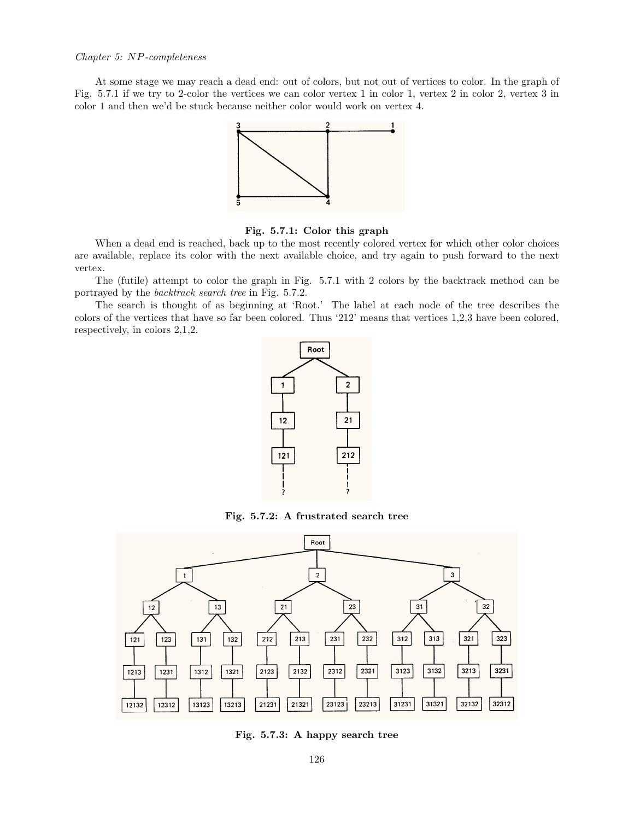At some stage we may reach a dead end: out of colors, but not out of vertices to color. In the graph of Fig. 5.7.1 if we try to 2-color the vertices we can color vertex 1 in color 1, vertex 2 in color 2, vertex 3 in color 1 and then we'd be stuck because neither color would work on vertex 4.



**Fig. 5.7.1: Color this graph**

When a dead end is reached, back up to the most recently colored vertex for which other color choices are available, replace its color with the next available choice, and try again to push forward to the next vertex.

The (futile) attempt to color the graph in Fig. 5.7.1 with 2 colors by the backtrack method can be portrayed by the backtrack search tree in Fig. 5.7.2.

The search is thought of as beginning at 'Root.' The label at each node of the tree describes the colors of the vertices that have so far been colored. Thus '212' means that vertices 1,2,3 have been colored, respectively, in colors 2,1,2.



**Fig. 5.7.2: A frustrated search tree**



**Fig. 5.7.3: A happy search tree**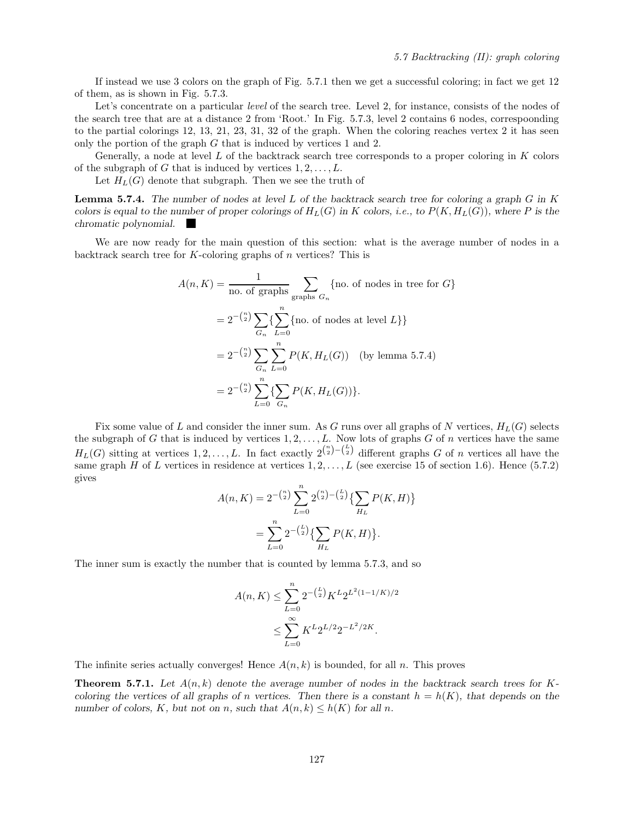If instead we use 3 colors on the graph of Fig. 5.7.1 then we get a successful coloring; in fact we get 12 of them, as is shown in Fig. 5.7.3.

Let's concentrate on a particular *level* of the search tree. Level 2, for instance, consists of the nodes of the search tree that are at a distance 2 from 'Root.' In Fig. 5.7.3, level 2 contains 6 nodes, correspoonding to the partial colorings 12, 13, 21, 23, 31, 32 of the graph. When the coloring reaches vertex 2 it has seen only the portion of the graph G that is induced by vertices 1 and 2.

Generally, a node at level  $L$  of the backtrack search tree corresponds to a proper coloring in  $K$  colors of the subgraph of G that is induced by vertices  $1, 2, \ldots, L$ .

Let  $H_L(G)$  denote that subgraph. Then we see the truth of

**Lemma 5.7.4.** *The number of nodes at level* L *of the backtrack search tree for coloring a graph* G *in* K *colors is equal to the number of proper colorings of*  $H_L(G)$  in K *colors, i.e., to*  $P(K, H_L(G))$ *, where* P is the *chromatic polynomial.*

We are now ready for the main question of this section: what is the average number of nodes in a backtrack search tree for  $K$ -coloring graphs of  $n$  vertices? This is

$$
A(n, K) = \frac{1}{\text{no. of graphs}} \sum_{\text{graphs } G_n} \{\text{no. of nodes in tree for } G\}
$$

$$
= 2^{-\binom{n}{2}} \sum_{G_n} \{\sum_{L=0}^n \{\text{no. of nodes at level } L\}\}
$$

$$
= 2^{-\binom{n}{2}} \sum_{G_n} \sum_{L=0}^n P(K, H_L(G)) \quad \text{(by lemma 5.7.4)}
$$

$$
= 2^{-\binom{n}{2}} \sum_{L=0}^n \{\sum_{G_n} P(K, H_L(G))\}.
$$

Fix some value of L and consider the inner sum. As G runs over all graphs of N vertices,  $H_L(G)$  selects the subgraph of G that is induced by vertices  $1, 2, \ldots, L$ . Now lots of graphs G of n vertices have the same  $H_L(G)$  sitting at vertices  $1, 2, ..., L$ . In fact exactly  $2^{n \choose 2} - {L \choose 2}$  different graphs G of n vertices all have the same graph H of L vertices in residence at vertices  $1, 2, \ldots, L$  (see exercise 15 of section 1.6). Hence (5.7.2) gives

$$
A(n, K) = 2^{-\binom{n}{2}} \sum_{L=0}^{n} 2^{\binom{n}{2} - \binom{L}{2}} \{ \sum_{H_L} P(K, H) \}
$$

$$
= \sum_{L=0}^{n} 2^{-\binom{L}{2}} \{ \sum_{H_L} P(K, H) \}.
$$

The inner sum is exactly the number that is counted by lemma 5.7.3, and so

$$
A(n, K) \le \sum_{L=0}^{n} 2^{-\binom{L}{2}} K^L 2^{L^2 (1 - 1/K)/2}
$$
  

$$
\le \sum_{L=0}^{\infty} K^L 2^{L/2} 2^{-L^2/2K}.
$$

The infinite series actually converges! Hence  $A(n,k)$  is bounded, for all n. This proves

**Theorem 5.7.1.** Let  $A(n,k)$  denote the average number of nodes in the backtrack search trees for K*coloring the vertices of all graphs of n vertices. Then there is a constant*  $h = h(K)$ *, that depends on the number of colors, K, but not on n, such that*  $A(n, k) \leq h(K)$  for all n.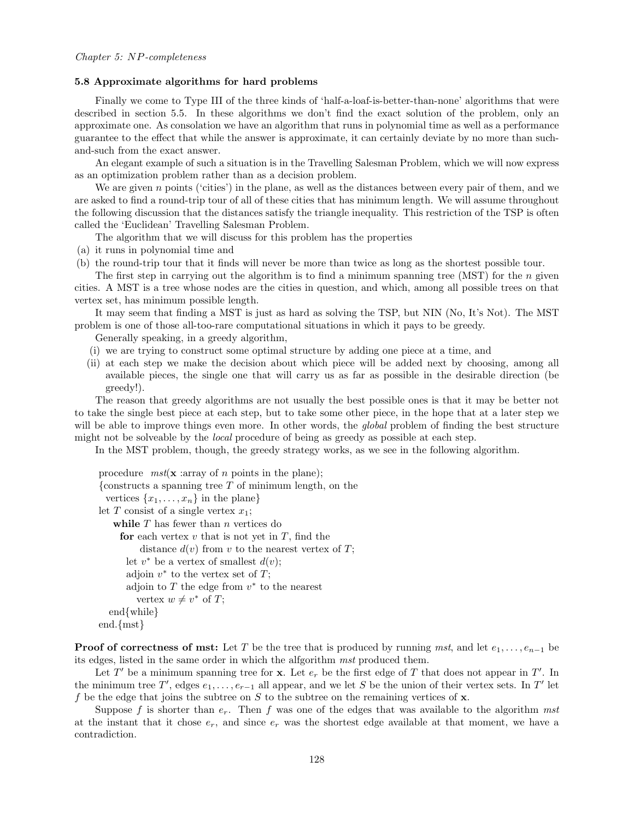#### **5.8 Approximate algorithms for hard problems**

Finally we come to Type III of the three kinds of 'half-a-loaf-is-better-than-none' algorithms that were described in section 5.5. In these algorithms we don't find the exact solution of the problem, only an approximate one. As consolation we have an algorithm that runs in polynomial time as well as a performance guarantee to the effect that while the answer is approximate, it can certainly deviate by no more than suchand-such from the exact answer.

An elegant example of such a situation is in the Travelling Salesman Problem, which we will now express as an optimization problem rather than as a decision problem.

We are given n points ('cities') in the plane, as well as the distances between every pair of them, and we are asked to find a round-trip tour of all of these cities that has minimum length. We will assume throughout the following discussion that the distances satisfy the triangle inequality. This restriction of the TSP is often called the 'Euclidean' Travelling Salesman Problem.

The algorithm that we will discuss for this problem has the properties

- (a) it runs in polynomial time and
- (b) the round-trip tour that it finds will never be more than twice as long as the shortest possible tour.

The first step in carrying out the algorithm is to find a minimum spanning tree (MST) for the n given cities. A MST is a tree whose nodes are the cities in question, and which, among all possible trees on that vertex set, has minimum possible length.

It may seem that finding a MST is just as hard as solving the TSP, but NIN (No, It's Not). The MST problem is one of those all-too-rare computational situations in which it pays to be greedy.

Generally speaking, in a greedy algorithm,

- (i) we are trying to construct some optimal structure by adding one piece at a time, and
- (ii) at each step we make the decision about which piece will be added next by choosing, among all available pieces, the single one that will carry us as far as possible in the desirable direction (be greedy!).

The reason that greedy algorithms are not usually the best possible ones is that it may be better not to take the single best piece at each step, but to take some other piece, in the hope that at a later step we will be able to improve things even more. In other words, the *global* problem of finding the best structure might not be solveable by the local procedure of being as greedy as possible at each step.

In the MST problem, though, the greedy strategy works, as we see in the following algorithm.

```
procedure mst(\mathbf{x}) :array of n points in the plane);
{constructs a spanning tree T of minimum length, on the
 vertices \{x_1,\ldots,x_n\} in the plane}
let T consist of a single vertex x_1;
   while T has fewer than n vertices do
     for each vertex v that is not yet in T, find the
         distance d(v) from v to the nearest vertex of T;
      let v^* be a vertex of smallest d(v);
      adjoin v^* to the vertex set of T;
      adjoin to T the edge from v^* to the nearest
        vertex w \neq v^* of T;
  end{while}
end.{mst}
```
**Proof of correctness of mst:** Let T be the tree that is produced by running mst, and let  $e_1, \ldots, e_{n-1}$  be its edges, listed in the same order in which the alfgorithm mst produced them.

Let T' be a minimum spanning tree for **x**. Let  $e_r$  be the first edge of T that does not appear in T'. In the minimum tree T', edges  $e_1, \ldots, e_{r-1}$  all appear, and we let S be the union of their vertex sets. In T' let f be the edge that joins the subtree on S to the subtree on the remaining vertices of **x**.

Suppose f is shorter than  $e_r$ . Then f was one of the edges that was available to the algorithm mst at the instant that it chose  $e_r$ , and since  $e_r$  was the shortest edge available at that moment, we have a contradiction.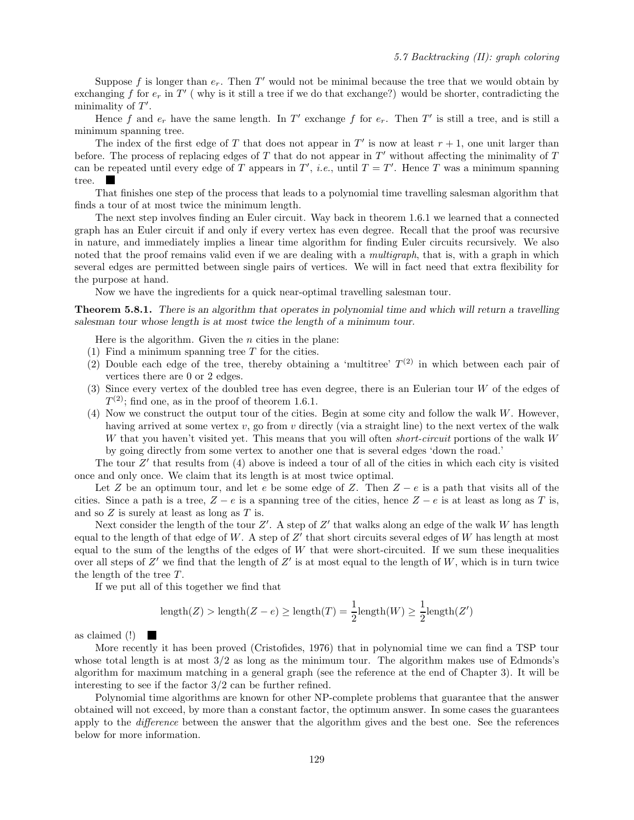Suppose f is longer than  $e_r$ . Then T' would not be minimal because the tree that we would obtain by exchanging f for  $e_r$  in T' (why is it still a tree if we do that exchange?) would be shorter, contradicting the minimality of  $T'$ .

Hence f and  $e_r$  have the same length. In T' exchange f for  $e_r$ . Then T' is still a tree, and is still a minimum spanning tree.

The index of the first edge of T that does not appear in T' is now at least  $r + 1$ , one unit larger than before. The process of replacing edges of T that do not appear in  $T'$  without affecting the minimality of T can be repeated until every edge of T appears in T', *i.e.*, until  $T = T'$ . Hence T was a minimum spanning tree.  $\blacksquare$ 

That finishes one step of the process that leads to a polynomial time travelling salesman algorithm that finds a tour of at most twice the minimum length.

The next step involves finding an Euler circuit. Way back in theorem 1.6.1 we learned that a connected graph has an Euler circuit if and only if every vertex has even degree. Recall that the proof was recursive in nature, and immediately implies a linear time algorithm for finding Euler circuits recursively. We also noted that the proof remains valid even if we are dealing with a *multigraph*, that is, with a graph in which several edges are permitted between single pairs of vertices. We will in fact need that extra flexibility for the purpose at hand.

Now we have the ingredients for a quick near-optimal travelling salesman tour.

**Theorem 5.8.1.** *There is an algorithm that operates in polynomial time and which will return a travelling salesman tour whose length is at most twice the length of a minimum tour.*

Here is the algorithm. Given the  $n$  cities in the plane:

- (1) Find a minimum spanning tree  $T$  for the cities.
- (2) Double each edge of the tree, thereby obtaining a 'multitree'  $T^{(2)}$  in which between each pair of vertices there are 0 or 2 edges.
- (3) Since every vertex of the doubled tree has even degree, there is an Eulerian tour W of the edges of  $T^{(2)}$ ; find one, as in the proof of theorem 1.6.1.
- (4) Now we construct the output tour of the cities. Begin at some city and follow the walk W. However, having arrived at some vertex  $v$ , go from  $v$  directly (via a straight line) to the next vertex of the walk W that you haven't visited yet. This means that you will often *short-circuit* portions of the walk W by going directly from some vertex to another one that is several edges 'down the road.'

The tour  $Z'$  that results from (4) above is indeed a tour of all of the cities in which each city is visited once and only once. We claim that its length is at most twice optimal.

Let Z be an optimum tour, and let e be some edge of Z. Then  $Z - e$  is a path that visits all of the cities. Since a path is a tree,  $Z - e$  is a spanning tree of the cities, hence  $Z - e$  is at least as long as T is, and so  $Z$  is surely at least as long as  $T$  is.

Next consider the length of the tour Z'. A step of Z' that walks along an edge of the walk W has length equal to the length of that edge of W. A step of  $Z'$  that short circuits several edges of W has length at most equal to the sum of the lengths of the edges of  $W$  that were short-circuited. If we sum these inequalities over all steps of  $Z'$  we find that the length of  $Z'$  is at most equal to the length of W, which is in turn twice the length of the tree  $T$ .

If we put all of this together we find that

$$
length(Z) > length(Z - e) \ge length(T) = \frac{1}{2}length(W) \ge \frac{1}{2}length(Z')
$$

as claimed (!)

More recently it has been proved (Cristofides, 1976) that in polynomial time we can find a TSP tour whose total length is at most 3/2 as long as the minimum tour. The algorithm makes use of Edmonds's algorithm for maximum matching in a general graph (see the reference at the end of Chapter 3). It will be interesting to see if the factor 3/2 can be further refined.

Polynomial time algorithms are known for other NP-complete problems that guarantee that the answer obtained will not exceed, by more than a constant factor, the optimum answer. In some cases the guarantees apply to the difference between the answer that the algorithm gives and the best one. See the references below for more information.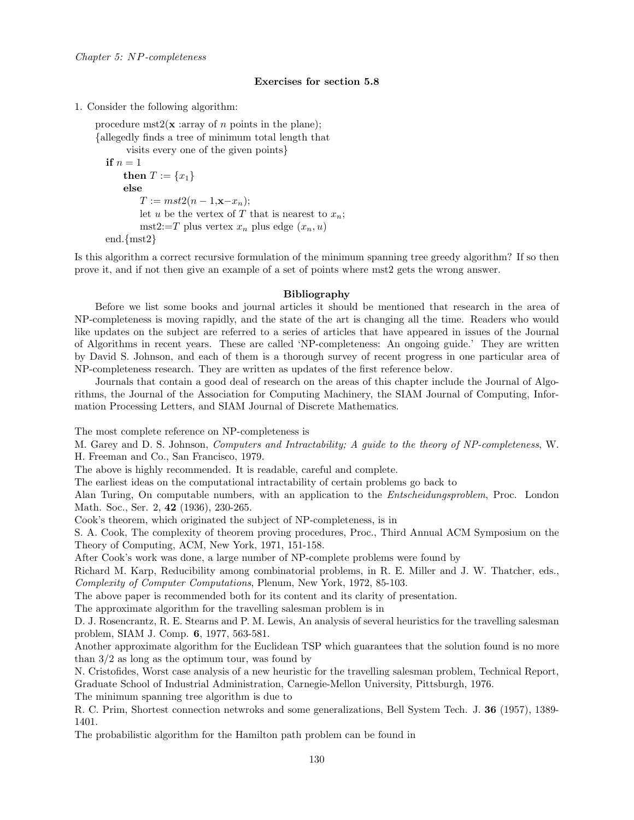#### **Exercises for section 5.8**

1. Consider the following algorithm:

procedure mst2( $\mathbf{x}$  :array of n points in the plane); {allegedly finds a tree of minimum total length that visits every one of the given points}

```
if n = 1then T := \{x_1\}else
       T := mst2(n - 1, x - x_n);let u be the vertex of T that is nearest to x_n;
       mst2:=T plus vertex x_n plus edge (x_n, u)end.{mst2}
```
Is this algorithm a correct recursive formulation of the minimum spanning tree greedy algorithm? If so then prove it, and if not then give an example of a set of points where mst2 gets the wrong answer.

### **Bibliography**

Before we list some books and journal articles it should be mentioned that research in the area of NP-completeness is moving rapidly, and the state of the art is changing all the time. Readers who would like updates on the subject are referred to a series of articles that have appeared in issues of the Journal of Algorithms in recent years. These are called 'NP-completeness: An ongoing guide.' They are written by David S. Johnson, and each of them is a thorough survey of recent progress in one particular area of NP-completeness research. They are written as updates of the first reference below.

Journals that contain a good deal of research on the areas of this chapter include the Journal of Algorithms, the Journal of the Association for Computing Machinery, the SIAM Journal of Computing, Information Processing Letters, and SIAM Journal of Discrete Mathematics.

The most complete reference on NP-completeness is

M. Garey and D. S. Johnson, Computers and Intractability; A guide to the theory of NP-completeness, W. H. Freeman and Co., San Francisco, 1979.

The above is highly recommended. It is readable, careful and complete.

The earliest ideas on the computational intractability of certain problems go back to

Alan Turing, On computable numbers, with an application to the Entscheidungsproblem, Proc. London Math. Soc., Ser. 2, **42** (1936), 230-265.

Cook's theorem, which originated the subject of NP-completeness, is in

S. A. Cook, The complexity of theorem proving procedures, Proc., Third Annual ACM Symposium on the Theory of Computing, ACM, New York, 1971, 151-158.

After Cook's work was done, a large number of NP-complete problems were found by

Richard M. Karp, Reducibility among combinatorial problems, in R. E. Miller and J. W. Thatcher, eds., Complexity of Computer Computations, Plenum, New York, 1972, 85-103.

The above paper is recommended both for its content and its clarity of presentation.

The approximate algorithm for the travelling salesman problem is in

D. J. Rosencrantz, R. E. Stearns and P. M. Lewis, An analysis of several heuristics for the travelling salesman problem, SIAM J. Comp. **6**, 1977, 563-581.

Another approximate algorithm for the Euclidean TSP which guarantees that the solution found is no more than  $3/2$  as long as the optimum tour, was found by

N. Cristofides, Worst case analysis of a new heuristic for the travelling salesman problem, Technical Report, Graduate School of Industrial Administration, Carnegie-Mellon University, Pittsburgh, 1976.

The minimum spanning tree algorithm is due to

R. C. Prim, Shortest connection netwroks and some generalizations, Bell System Tech. J. **36** (1957), 1389- 1401.

The probabilistic algorithm for the Hamilton path problem can be found in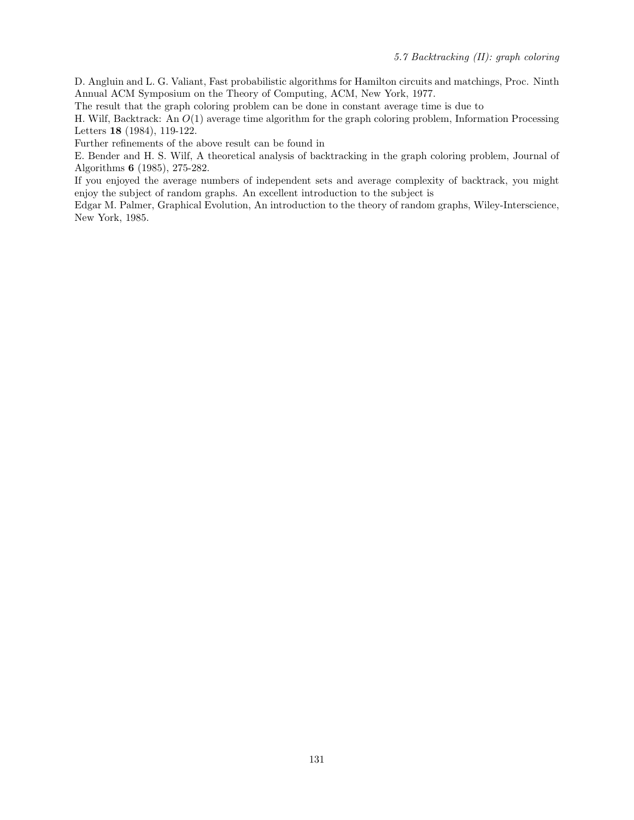D. Angluin and L. G. Valiant, Fast probabilistic algorithms for Hamilton circuits and matchings, Proc. Ninth Annual ACM Symposium on the Theory of Computing, ACM, New York, 1977.

The result that the graph coloring problem can be done in constant average time is due to

H. Wilf, Backtrack: An O(1) average time algorithm for the graph coloring problem, Information Processing Letters **18** (1984), 119-122.

Further refinements of the above result can be found in

E. Bender and H. S. Wilf, A theoretical analysis of backtracking in the graph coloring problem, Journal of Algorithms **6** (1985), 275-282.

If you enjoyed the average numbers of independent sets and average complexity of backtrack, you might enjoy the subject of random graphs. An excellent introduction to the subject is

Edgar M. Palmer, Graphical Evolution, An introduction to the theory of random graphs, Wiley-Interscience, New York, 1985.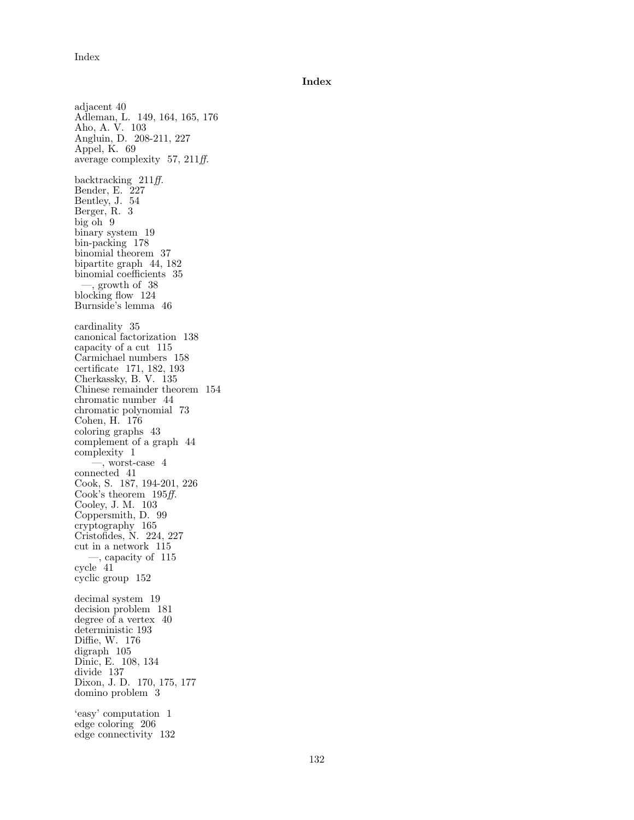```
Index
```
adjacent 40 Adleman, L. 149, 164, 165, 176 Aho, A. V. 103 Angluin, D. 208-211, 227 Appel, K. 69 average complexity 57, 211ff. backtracking 211ff. Bender, E. 227 Bentley, J. 54 Berger, R. 3 big oh 9 binary system 19 bin-packing 178 binomial theorem 37 bipartite graph 44, 182 binomial coefficients 35 —, growth of 38 blocking flow 124 Burnside's lemma 46 cardinality 35 canonical factorization 138 capacity of a cut 115 Carmichael numbers 158 certificate 171, 182, 193 Cherkassky, B. V. 135 Chinese remainder theorem 154 chromatic number 44 chromatic polynomial 73 Cohen, H. 176 coloring graphs 43 complement of a graph 44 complexity 1 —, worst-case 4 connected 41 Cook, S. 187, 194-201, 226 Cook's theorem  $195ff$ . Cooley, J. M. 103 Coppersmith, D. 99 cryptography 165 Cristofides, N. 224, 227 cut in a network 115 —, capacity of 115 cycle 41 cyclic group 152 decimal system 19 decision problem 181 degree of a vertex 40 deterministic 193 Diffie, W. 176 digraph 105 Dinic, E. 108, 134 divide 137 Dixon, J. D. 170, 175, 177 domino problem 3 'easy' computation 1 edge coloring 206 edge connectivity 132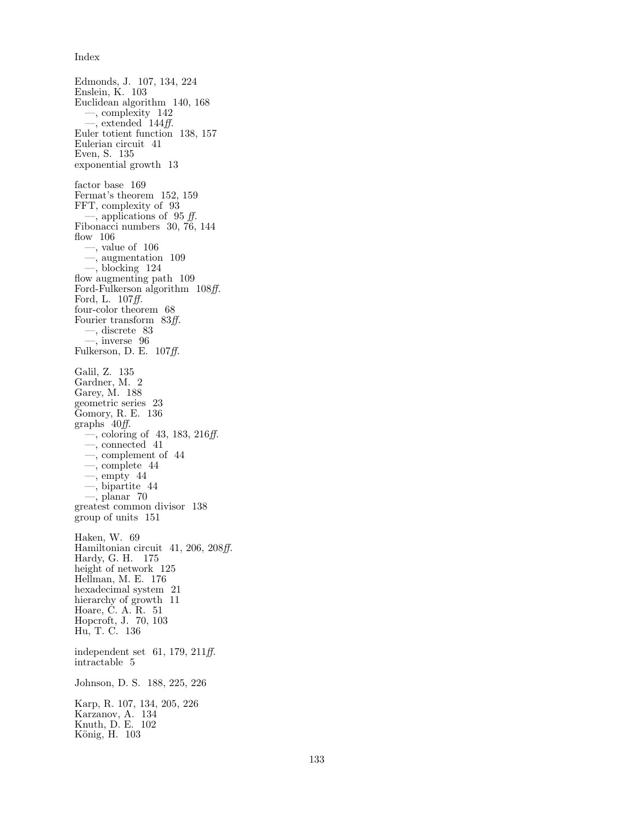Edmonds, J. 107, 134, 224 Enslein, K. 103 Euclidean algorithm 140, 168 —, complexity 142  $-$ , extended 144ff. Euler totient function 138, 157 Eulerian circuit 41 Even, S. 135 exponential growth 13 factor base 169 Fermat's theorem 152, 159 FFT, complexity of 93  $-$ , applications of 95 ff. Fibonacci numbers 30, 76, 144 flow 106  $-$ , value of 106 —, augmentation 109 —, blocking 124 flow augmenting path 109 Ford-Fulkerson algorithm 108ff. Ford, L. 107ff. four-color theorem 68 Fourier transform 83ff. —, discrete 83 —, inverse 96 Fulkerson, D. E. 107ff. Galil, Z. 135 Gardner, M. 2 Garey, M. 188 geometric series 23 Gomory, R. E. 136 graphs 40ff.  $\overline{-}$ , coloring of 43, 183, 216ff. —, connected 41 —, complement of 44 —, complete 44  $-$ , empty 44 —, bipartite 44  $\sim$ , planar 70 greatest common divisor 138 group of units 151 Haken, W. 69 Hamiltonian circuit 41, 206, 208ff. Hardy, G. H. 175 height of network 125 Hellman, M. E. 176 hexadecimal system 21 hierarchy of growth 11 Hoare, C. A. R. 51 Hopcroft, J. 70, 103 Hu, T. C. 136 independent set 61, 179, 211ff. intractable 5 Johnson, D. S. 188, 225, 226 Karp, R. 107, 134, 205, 226 Karzanov, A. 134 Knuth, D. E. 102 König, H. 103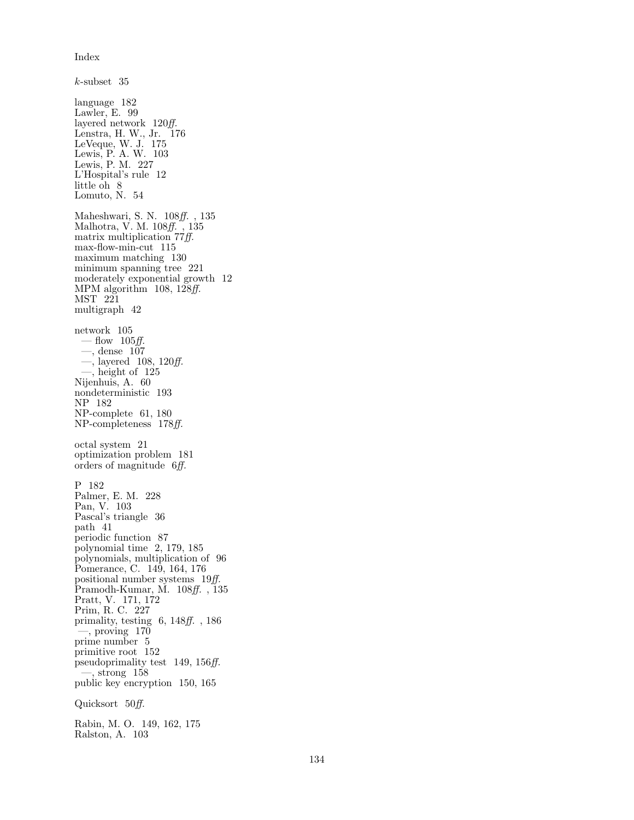k-subset 35 language 182 Lawler, E. 99 layered network 120ff. Lenstra, H. W., Jr. 176 LeVeque, W. J. 175 Lewis, P. A. W. 103 Lewis, P. M. 227 L'Hospital's rule 12 little oh 8 Lomuto, N. 54 Maheshwari, S. N. 108ff. , 135 Malhotra, V. M. 108ff. , 135 matrix multiplication 77ff. max-flow-min-cut 115 maximum matching 130 minimum spanning tree 221 moderately exponential growth 12 MPM algorithm 108, 128ff. MST 221 multigraph 42 network 105 — flow  $105$ ff. —, dense 107 —, layered 108, 120ff. —, height of 125 Nijenhuis, A. 60 nondeterministic 193 NP 182 NP-complete 61, 180 NP-completeness 178ff. octal system 21 optimization problem 181 orders of magnitude 6ff. P 182 Palmer, E. M. 228 Pan, V. 103 Pascal's triangle 36 path 41 periodic function 87 polynomial time 2, 179, 185 polynomials, multiplication of 96 Pomerance, C. 149, 164, 176 positional number systems 19ff. Pramodh-Kumar, M. 108ff. , 135 Pratt, V. 171, 172 Prim, R. C. 227 primality, testing 6, 148ff. , 186  $-$ , proving 170 prime number 5 primitive root 152 pseudoprimality test 149, 156ff. —, strong 158 public key encryption 150, 165 Quicksort 50ff. Rabin, M. O. 149, 162, 175 Ralston, A. 103